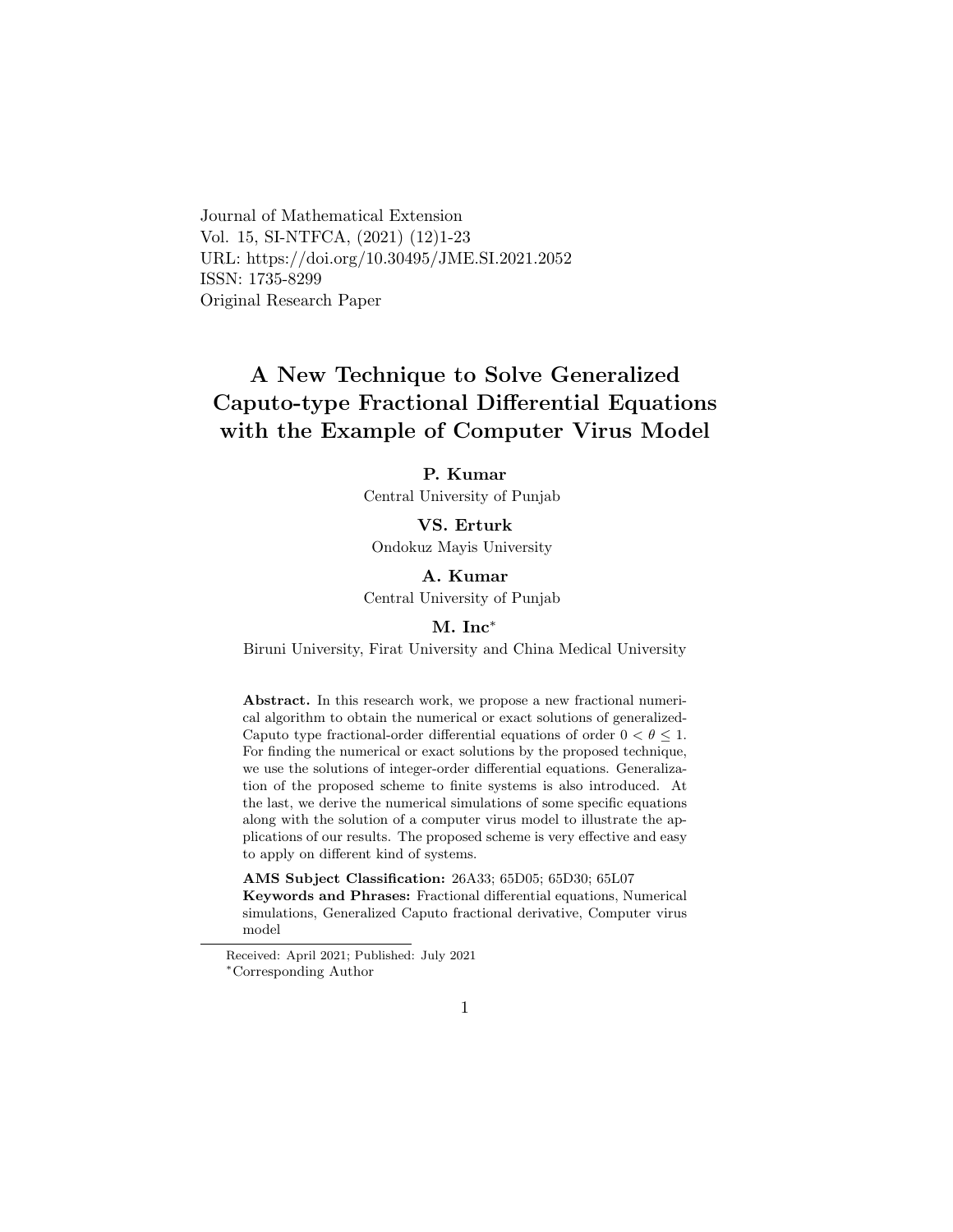Journal of Mathematical Extension Vol. 15, SI-NTFCA, (2021) (12)1-23 URL: https://doi.org/10.30495/JME.SI.2021.2052 ISSN: 1735-8299 Original Research Paper

# A New Technique to Solve Generalized Caputo-type Fractional Differential Equations with the Example of Computer Virus Model

### P. Kumar

Central University of Punjab

VS. Erturk Ondokuz Mayis University

### A. Kumar

Central University of Punjab

### M. Inc[∗](#page-0-0)

Biruni University, Firat University and China Medical University

Abstract. In this research work, we propose a new fractional numerical algorithm to obtain the numerical or exact solutions of generalized-Caputo type fractional-order differential equations of order  $0 < \theta \leq 1$ . For finding the numerical or exact solutions by the proposed technique, we use the solutions of integer-order differential equations. Generalization of the proposed scheme to finite systems is also introduced. At the last, we derive the numerical simulations of some specific equations along with the solution of a computer virus model to illustrate the applications of our results. The proposed scheme is very effective and easy to apply on different kind of systems.

AMS Subject Classification: 26A33; 65D05; 65D30; 65L07 Keywords and Phrases: Fractional differential equations, Numerical simulations, Generalized Caputo fractional derivative, Computer virus model

<span id="page-0-0"></span>Received: April 2021; Published: July 2021 <sup>∗</sup>Corresponding Author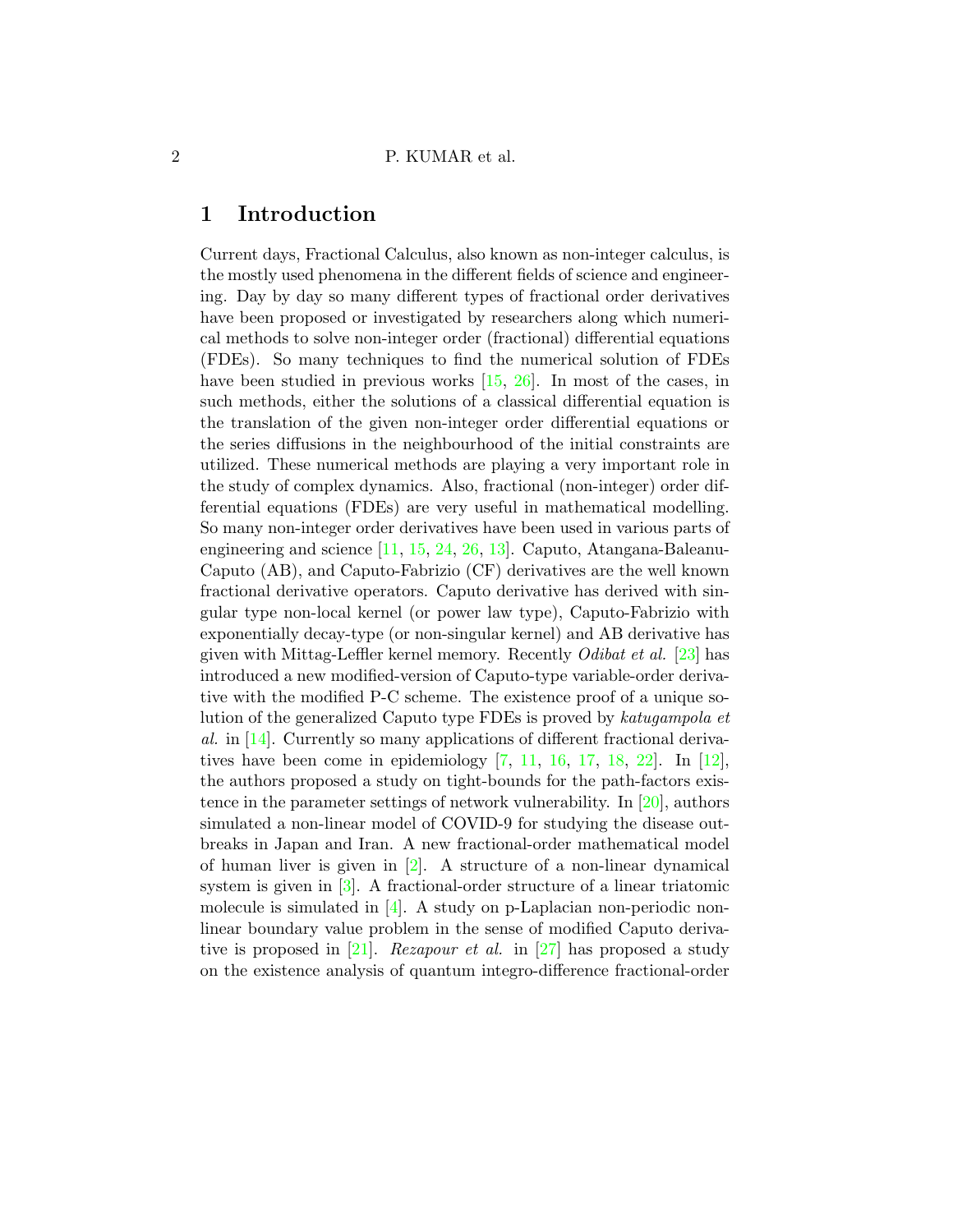## 1 Introduction

Current days, Fractional Calculus, also known as non-integer calculus, is the mostly used phenomena in the different fields of science and engineering. Day by day so many different types of fractional order derivatives have been proposed or investigated by researchers along which numerical methods to solve non-integer order (fractional) differential equations (FDEs). So many techniques to find the numerical solution of FDEs have been studied in previous works [\[15,](#page-20-0) [26\]](#page-21-0). In most of the cases, in such methods, either the solutions of a classical differential equation is the translation of the given non-integer order differential equations or the series diffusions in the neighbourhood of the initial constraints are utilized. These numerical methods are playing a very important role in the study of complex dynamics. Also, fractional (non-integer) order differential equations (FDEs) are very useful in mathematical modelling. So many non-integer order derivatives have been used in various parts of engineering and science [\[11,](#page-19-0) [15,](#page-20-0) [24,](#page-21-1) [26,](#page-21-0) [13\]](#page-19-1). Caputo, Atangana-Baleanu-Caputo (AB), and Caputo-Fabrizio (CF) derivatives are the well known fractional derivative operators. Caputo derivative has derived with singular type non-local kernel (or power law type), Caputo-Fabrizio with exponentially decay-type (or non-singular kernel) and AB derivative has given with Mittag-Leffler kernel memory. Recently *Odibat et al.* [\[23\]](#page-21-2) has introduced a new modified-version of Caputo-type variable-order derivative with the modified P-C scheme. The existence proof of a unique solution of the generalized Caputo type FDEs is proved by katugampola et al. in [\[14\]](#page-19-2). Currently so many applications of different fractional derivatives have been come in epidemiology  $[7, 11, 16, 17, 18, 22]$  $[7, 11, 16, 17, 18, 22]$  $[7, 11, 16, 17, 18, 22]$  $[7, 11, 16, 17, 18, 22]$  $[7, 11, 16, 17, 18, 22]$  $[7, 11, 16, 17, 18, 22]$  $[7, 11, 16, 17, 18, 22]$  $[7, 11, 16, 17, 18, 22]$  $[7, 11, 16, 17, 18, 22]$  $[7, 11, 16, 17, 18, 22]$ . In  $[12]$ , the authors proposed a study on tight-bounds for the path-factors existence in the parameter settings of network vulnerability. In [\[20\]](#page-20-5), authors simulated a non-linear model of COVID-9 for studying the disease outbreaks in Japan and Iran. A new fractional-order mathematical model of human liver is given in [\[2\]](#page-18-0). A structure of a non-linear dynamical system is given in  $[3]$ . A fractional-order structure of a linear triatomic molecule is simulated in [\[4\]](#page-18-2). A study on p-Laplacian non-periodic nonlinear boundary value problem in the sense of modified Caputo deriva-tive is proposed in [\[21\]](#page-20-6). Rezapour et al. in [\[27\]](#page-21-3) has proposed a study on the existence analysis of quantum integro-difference fractional-order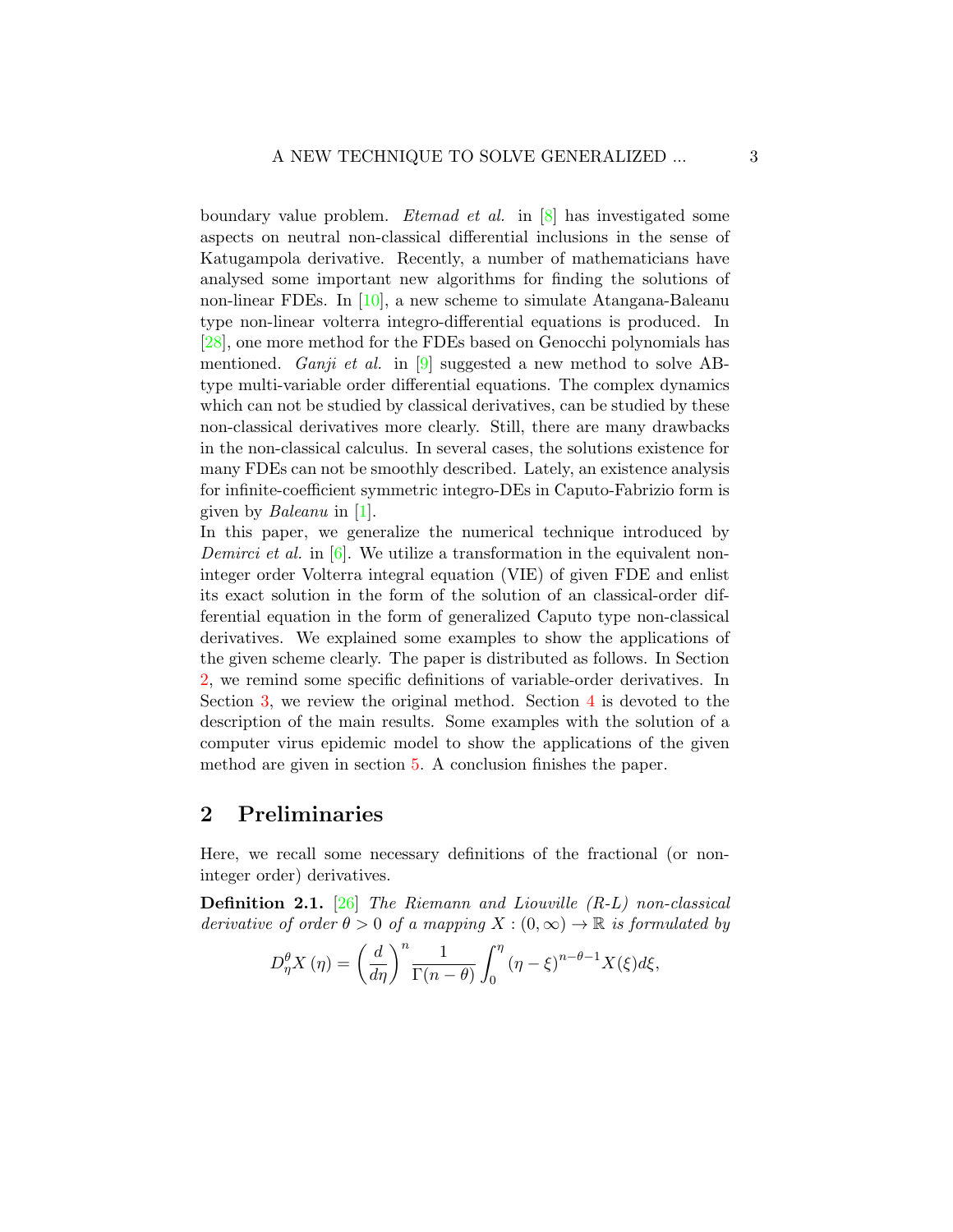boundary value problem. Etemad et al. in [\[8\]](#page-19-5) has investigated some aspects on neutral non-classical differential inclusions in the sense of Katugampola derivative. Recently, a number of mathematicians have analysed some important new algorithms for finding the solutions of non-linear FDEs. In [\[10\]](#page-19-6), a new scheme to simulate Atangana-Baleanu type non-linear volterra integro-differential equations is produced. In [\[28\]](#page-21-4), one more method for the FDEs based on Genocchi polynomials has mentioned. *Ganji et al.* in [\[9\]](#page-19-7) suggested a new method to solve ABtype multi-variable order differential equations. The complex dynamics which can not be studied by classical derivatives, can be studied by these non-classical derivatives more clearly. Still, there are many drawbacks in the non-classical calculus. In several cases, the solutions existence for many FDEs can not be smoothly described. Lately, an existence analysis for infinite-coefficient symmetric integro-DEs in Caputo-Fabrizio form is given by Baleanu in [\[1\]](#page-18-3).

In this paper, we generalize the numerical technique introduced by Demirci et al. in  $[6]$ . We utilize a transformation in the equivalent noninteger order Volterra integral equation (VIE) of given FDE and enlist its exact solution in the form of the solution of an classical-order differential equation in the form of generalized Caputo type non-classical derivatives. We explained some examples to show the applications of the given scheme clearly. The paper is distributed as follows. In Section [2,](#page-2-0) we remind some specific definitions of variable-order derivatives. In Section [3,](#page-3-0) we review the original method. Section [4](#page-5-0) is devoted to the description of the main results. Some examples with the solution of a computer virus epidemic model to show the applications of the given method are given in section [5.](#page-8-0) A conclusion finishes the paper.

## <span id="page-2-0"></span>2 Preliminaries

Here, we recall some necessary definitions of the fractional (or noninteger order) derivatives.

Definition 2.1. [\[26\]](#page-21-0) The Riemann and Liouville (R-L) non-classical derivative of order  $\theta > 0$  of a mapping  $X : (0, \infty) \to \mathbb{R}$  is formulated by

$$
D_{\eta}^{\theta} X(\eta) = \left(\frac{d}{d\eta}\right)^n \frac{1}{\Gamma(n-\theta)} \int_0^{\eta} (\eta - \xi)^{n-\theta-1} X(\xi) d\xi,
$$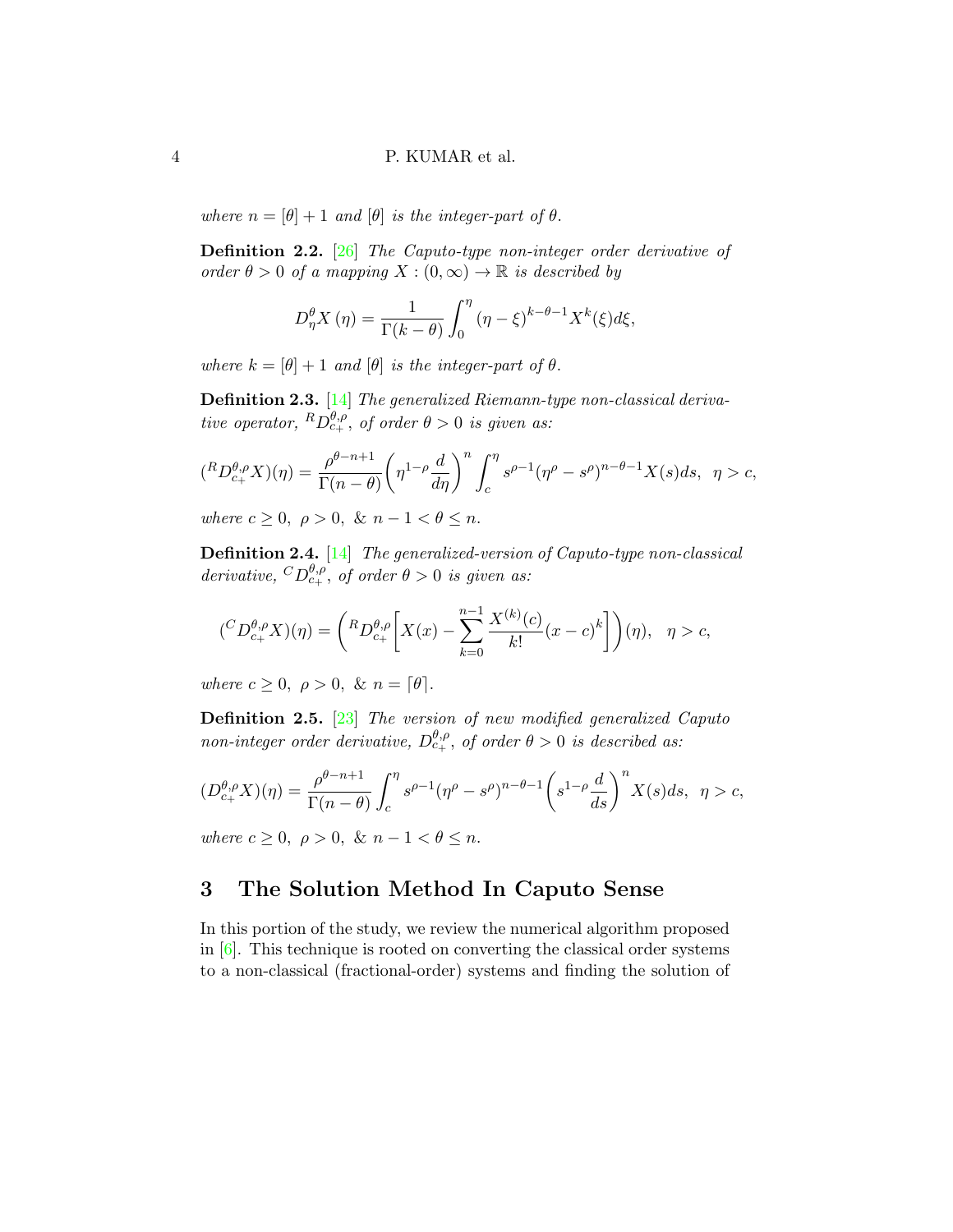where  $n = [\theta] + 1$  and  $[\theta]$  is the integer-part of  $\theta$ .

<span id="page-3-1"></span>Definition 2.2. [\[26\]](#page-21-0) The Caputo-type non-integer order derivative of order  $\theta > 0$  of a mapping  $X : (0, \infty) \to \mathbb{R}$  is described by

$$
D_{\eta}^{\theta} X(\eta) = \frac{1}{\Gamma(k-\theta)} \int_0^{\eta} (\eta - \xi)^{k-\theta-1} X^k(\xi) d\xi,
$$

where  $k = [\theta] + 1$  and  $[\theta]$  is the integer-part of  $\theta$ .

Definition 2.3. [\[14\]](#page-19-2) The generalized Riemann-type non-classical derivative operator,  ${}^R D^{\theta,\rho}_{c+}$ , of order  $\theta > 0$  is given as:

$$
({}^R D^{\theta,\rho}_{c_+} X)(\eta) = \frac{\rho^{\theta-n+1}}{\Gamma(n-\theta)} \left(\eta^{1-\rho} \frac{d}{d\eta}\right)^n \int_c^{\eta} s^{\rho-1} (\eta^{\rho} - s^{\rho})^{n-\theta-1} X(s) ds, \quad \eta > c,
$$

where  $c \geq 0$ ,  $\rho > 0$ , &  $n - 1 < \theta \leq n$ .

Definition 2.4. [\[14\]](#page-19-2) The generalized-version of Caputo-type non-classical derivative,  ${}^CD_{c_+}^{\theta,\rho}$ , of order  $\theta > 0$  is given as:

$$
({}^C D^{\theta,\rho}_{c_+} X)(\eta) = \left({}^R D^{\theta,\rho}_{c_+} \left[ X(x) - \sum_{k=0}^{n-1} \frac{X^{(k)}(c)}{k!} (x-c)^k \right] \right)(\eta), \quad \eta > c,
$$

where  $c \geq 0$ ,  $\rho > 0$ , &  $n = \lceil \theta \rceil$ .

<span id="page-3-2"></span>Definition 2.5. [\[23\]](#page-21-2) The version of new modified generalized Caputo non-integer order derivative,  $D_{c_{+}}^{\theta,\rho}$ , of order  $\theta > 0$  is described as:

$$
(D_{c_+}^{\theta,\rho}X)(\eta) = \frac{\rho^{\theta-n+1}}{\Gamma(n-\theta)} \int_c^{\eta} s^{\rho-1} (\eta^{\rho} - s^{\rho})^{n-\theta-1} \left( s^{1-\rho} \frac{d}{ds} \right)^n X(s) ds, \quad \eta > c,
$$

where  $c \geq 0$ ,  $\rho > 0$ , &  $n - 1 < \theta \leq n$ .

## <span id="page-3-0"></span>3 The Solution Method In Caputo Sense

In this portion of the study, we review the numerical algorithm proposed in  $[6]$ . This technique is rooted on converting the classical order systems to a non-classical (fractional-order) systems and finding the solution of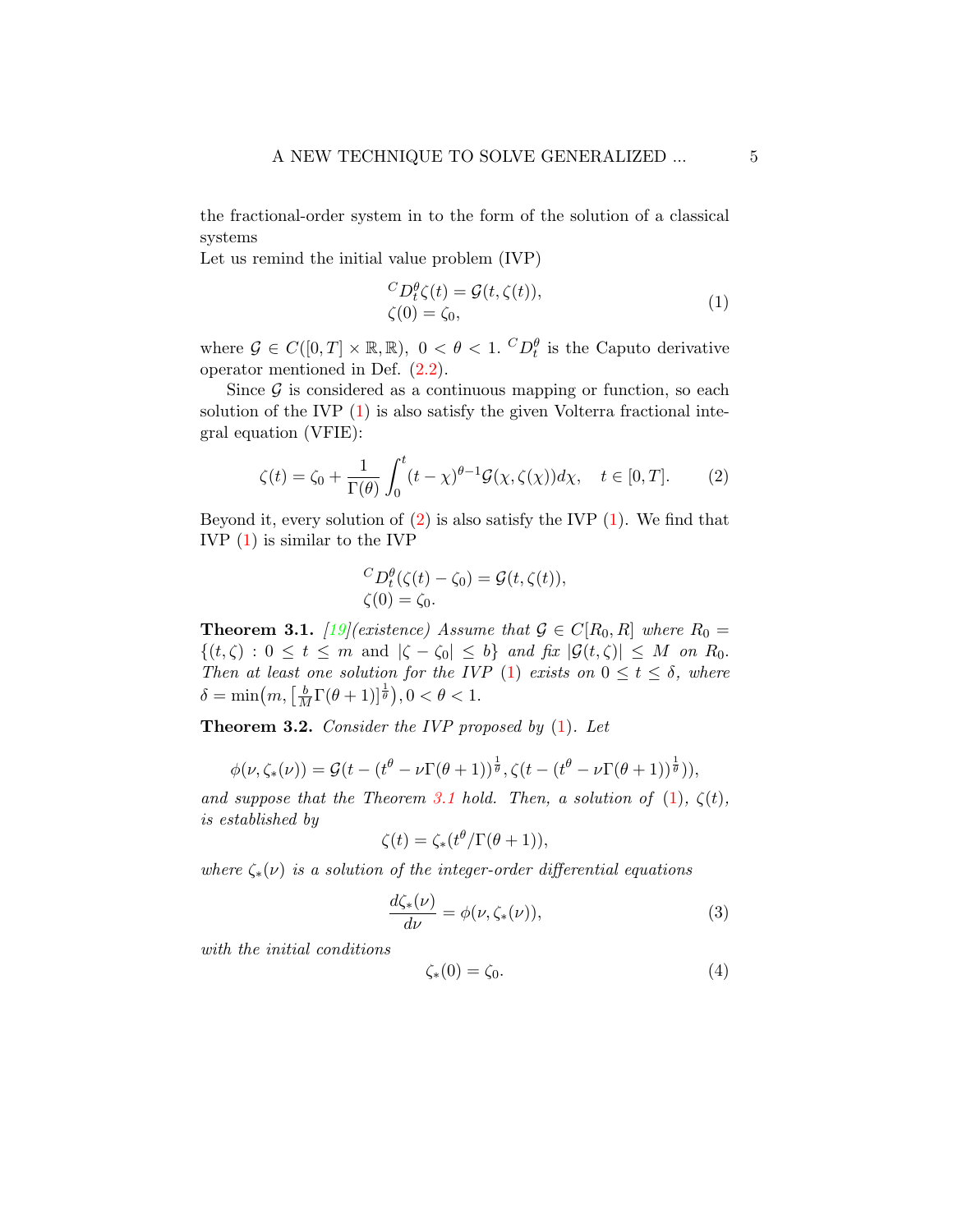the fractional-order system in to the form of the solution of a classical systems

Let us remind the initial value problem (IVP)

<span id="page-4-0"></span>
$$
{}^{C}D_{t}^{\theta}\zeta(t) = \mathcal{G}(t,\zeta(t)),
$$
  
\n
$$
\zeta(0) = \zeta_{0},
$$
\n(1)

where  $\mathcal{G} \in C([0,T] \times \mathbb{R}, \mathbb{R})$ ,  $0 < \theta < 1$ .  ${}^CD_t^{\theta}$  is the Caputo derivative operator mentioned in Def. [\(2.2\)](#page-3-1).

Since  $\mathcal G$  is considered as a continuous mapping or function, so each solution of the IVP  $(1)$  is also satisfy the given Volterra fractional integral equation (VFIE):

<span id="page-4-1"></span>
$$
\zeta(t) = \zeta_0 + \frac{1}{\Gamma(\theta)} \int_0^t (t - \chi)^{\theta - 1} \mathcal{G}(\chi, \zeta(\chi)) d\chi, \quad t \in [0, T]. \tag{2}
$$

Beyond it, every solution of  $(2)$  is also satisfy the IVP  $(1)$ . We find that IVP [\(1\)](#page-4-0) is similar to the IVP

$$
{}^{C}D_{t}^{\theta}(\zeta(t)-\zeta_{0})=\mathcal{G}(t,\zeta(t)),
$$
  

$$
\zeta(0)=\zeta_{0}.
$$

<span id="page-4-2"></span>**Theorem 3.1.** [\[19\]](#page-20-7)(existence) Assume that  $\mathcal{G} \in C[R_0, R]$  where  $R_0 =$  $\{(t,\zeta): 0 \leq t \leq m \text{ and } |\zeta-\zeta_0| \leq b\}$  and fix  $|\mathcal{G}(t,\zeta)| \leq M$  on  $R_0$ . Then at least one solution for the IVP [\(1\)](#page-4-0) exists on  $0 \le t \le \delta$ , where  $\delta = \min(m, \left[\frac{b}{M}\Gamma(\theta+1)\right]^{\frac{1}{\theta}}), 0 < \theta < 1.$ 

**Theorem 3.2.** Consider the IVP proposed by  $(1)$ . Let

$$
\phi(\nu,\zeta_*(\nu)) = \mathcal{G}(t - (t^{\theta} - \nu \Gamma(\theta + 1))^{\frac{1}{\theta}}, \zeta(t - (t^{\theta} - \nu \Gamma(\theta + 1))^{\frac{1}{\theta}})),
$$

and suppose that the Theorem [3.1](#page-4-2) hold. Then, a solution of  $(1)$ ,  $\zeta(t)$ , is established by

$$
\zeta(t) = \zeta_*(t^{\theta}/\Gamma(\theta+1)),
$$

where  $\zeta_*(\nu)$  is a solution of the integer-order differential equations

<span id="page-4-3"></span>
$$
\frac{d\zeta_*(\nu)}{d\nu} = \phi(\nu, \zeta_*(\nu)),\tag{3}
$$

with the initial conditions

<span id="page-4-4"></span>
$$
\zeta_*(0) = \zeta_0. \tag{4}
$$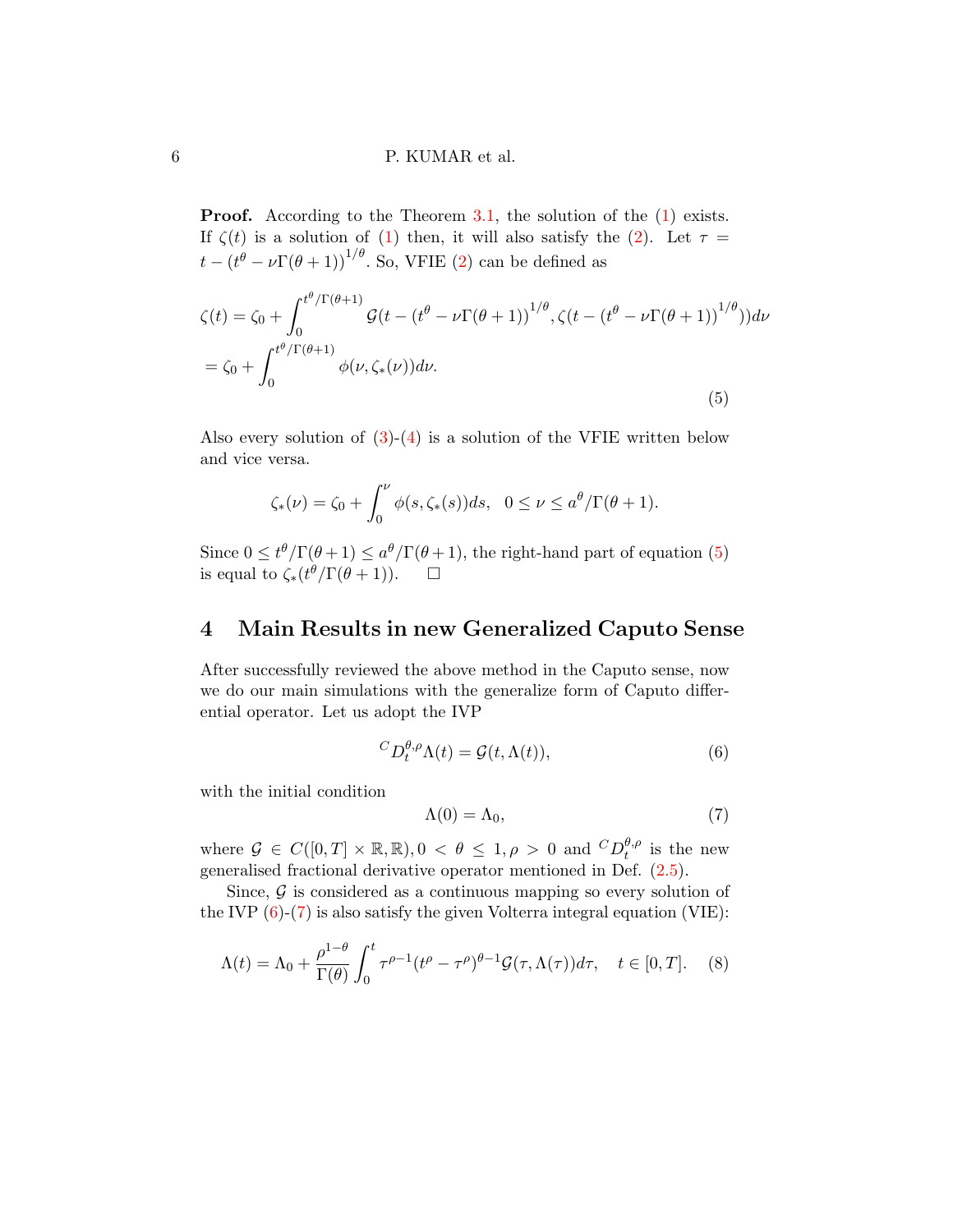**Proof.** According to the Theorem [3.1,](#page-4-2) the solution of the  $(1)$  exists. If  $\zeta(t)$  is a solution of [\(1\)](#page-4-0) then, it will also satisfy the [\(2\)](#page-4-1). Let  $\tau =$  $t - (t^{\theta} - \nu \Gamma(\theta + 1))^{1/\theta}$ . So, VFIE [\(2\)](#page-4-1) can be defined as

<span id="page-5-1"></span>
$$
\zeta(t) = \zeta_0 + \int_0^{t^{\theta}/\Gamma(\theta+1)} \mathcal{G}(t - (t^{\theta} - \nu \Gamma(\theta+1)))^{1/\theta}, \zeta(t - (t^{\theta} - \nu \Gamma(\theta+1)))^{1/\theta}) d\nu
$$

$$
= \zeta_0 + \int_0^{t^{\theta}/\Gamma(\theta+1)} \phi(\nu, \zeta_*(\nu)) d\nu.
$$
(5)

Also every solution of  $(3)-(4)$  $(3)-(4)$  is a solution of the VFIE written below and vice versa.

$$
\zeta_*(\nu) = \zeta_0 + \int_0^{\nu} \phi(s, \zeta_*(s)) ds, \quad 0 \le \nu \le a^{\theta}/\Gamma(\theta+1).
$$

Since  $0 \le t^{\theta}/\Gamma(\theta+1) \le a^{\theta}/\Gamma(\theta+1)$ , the right-hand part of equation [\(5\)](#page-5-1) is equal to  $\zeta_*(t^{\theta}/\Gamma(\theta+1))$ .  $\Box$ 

## <span id="page-5-0"></span>4 Main Results in new Generalized Caputo Sense

After successfully reviewed the above method in the Caputo sense, now we do our main simulations with the generalize form of Caputo differential operator. Let us adopt the IVP

<span id="page-5-2"></span>
$$
{}^{C}D_{t}^{\theta,\rho}\Lambda(t) = \mathcal{G}(t,\Lambda(t)),\tag{6}
$$

with the initial condition

<span id="page-5-3"></span>
$$
\Lambda(0) = \Lambda_0,\tag{7}
$$

where  $\mathcal{G} \in C([0,T] \times \mathbb{R}, \mathbb{R})$ ,  $0 \leq \theta \leq 1, \rho > 0$  and  ${}^{C}D_{t}^{\theta,\rho}$  $t^{\theta,\rho}$  is the new generalised fractional derivative operator mentioned in Def. [\(2.5\)](#page-3-2).

Since,  $\mathcal G$  is considered as a continuous mapping so every solution of the IVP  $(6)-(7)$  $(6)-(7)$  is also satisfy the given Volterra integral equation (VIE):

<span id="page-5-4"></span>
$$
\Lambda(t) = \Lambda_0 + \frac{\rho^{1-\theta}}{\Gamma(\theta)} \int_0^t \tau^{\rho-1} (t^{\rho} - \tau^{\rho})^{\theta-1} \mathcal{G}(\tau, \Lambda(\tau)) d\tau, \quad t \in [0, T]. \tag{8}
$$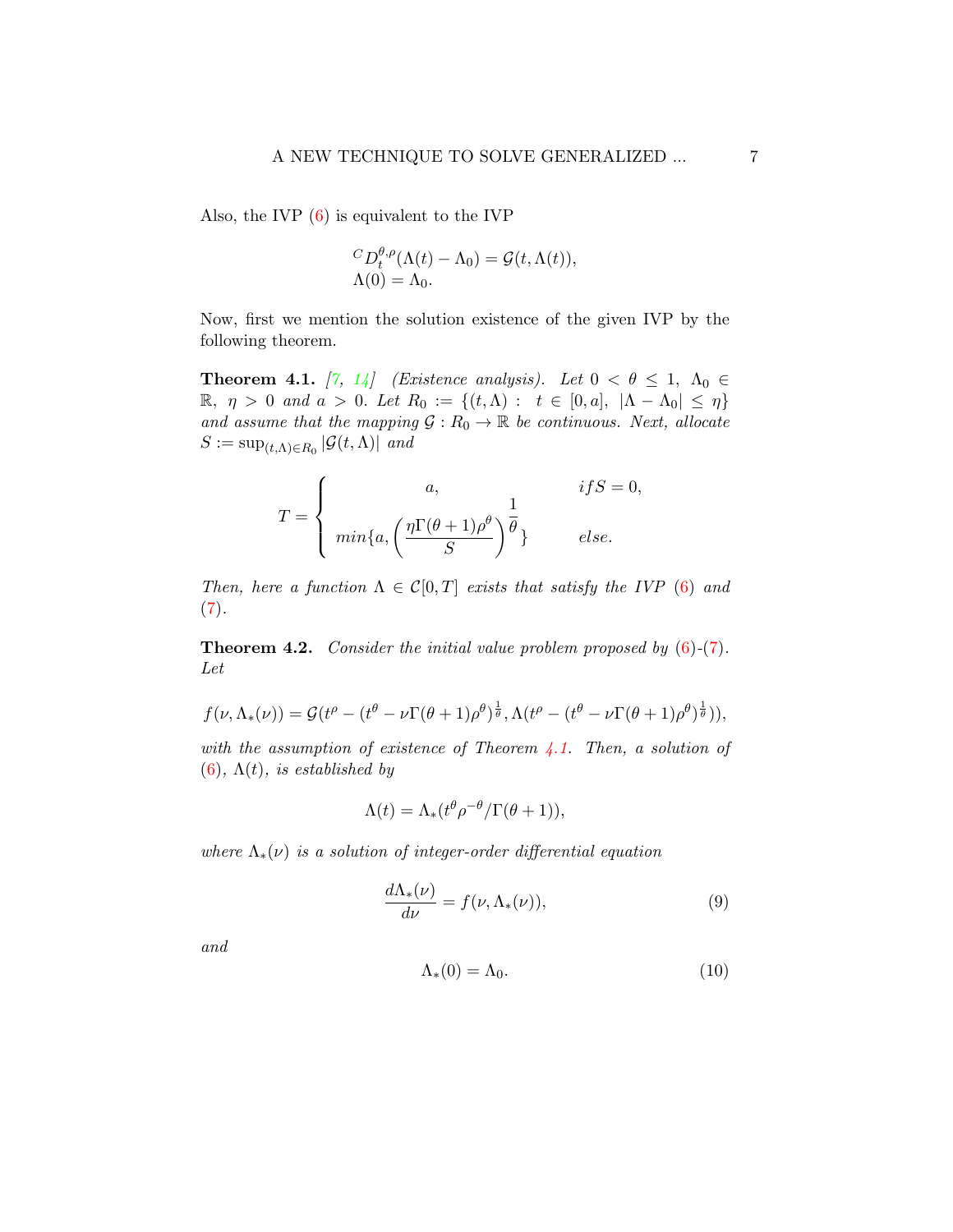Also, the IVP [\(6\)](#page-5-2) is equivalent to the IVP

$$
{}^{C}D_t^{\theta,\rho}(\Lambda(t) - \Lambda_0) = \mathcal{G}(t,\Lambda(t)),
$$
  

$$
\Lambda(0) = \Lambda_0.
$$

Now, first we mention the solution existence of the given IVP by the following theorem.

<span id="page-6-0"></span>**Theorem 4.1.** [\[7,](#page-19-3) [14\]](#page-19-2) (Existence analysis). Let  $0 < \theta \leq 1$ ,  $\Lambda_0 \in$  $\mathbb{R}, \eta > 0$  and  $a > 0$ . Let  $R_0 := \{(t, Λ) : t \in [0, a], |Λ - Λ_0| ≤ η\}$ and assume that the mapping  $\mathcal{G}: R_0 \to \mathbb{R}$  be continuous. Next, allocate  $S := \sup_{(t,\Lambda) \in R_0} |\mathcal{G}(t,\Lambda)|$  and

$$
T = \begin{cases} a, & if S = 0, \\ \min\{a, \left(\frac{\eta \Gamma(\theta + 1)\rho^{\theta}}{S}\right)^{\frac{1}{\theta}}\} & else. \end{cases}
$$

Then, here a function  $\Lambda \in \mathcal{C}[0,T]$  exists that satisfy the IVP [\(6\)](#page-5-2) and  $(7).$  $(7).$ 

<span id="page-6-3"></span>**Theorem 4.2.** Consider the initial value problem proposed by  $(6)-(7)$  $(6)-(7)$  $(6)-(7)$ . Let

$$
f(\nu, \Lambda_*(\nu)) = \mathcal{G}(t^{\rho} - (t^{\theta} - \nu \Gamma(\theta + 1)\rho^{\theta})^{\frac{1}{\theta}}, \Lambda(t^{\rho} - (t^{\theta} - \nu \Gamma(\theta + 1)\rho^{\theta})^{\frac{1}{\theta}})),
$$

with the assumption of existence of Theorem  $\frac{1}{4}$ . Then, a solution of [\(6\)](#page-5-2),  $\Lambda(t)$ , is established by

$$
\Lambda(t) = \Lambda_*(t^{\theta} \rho^{-\theta} / \Gamma(\theta + 1)),
$$

where  $\Lambda_*(\nu)$  is a solution of integer-order differential equation

<span id="page-6-1"></span>
$$
\frac{d\Lambda_*(\nu)}{d\nu} = f(\nu, \Lambda_*(\nu)),\tag{9}
$$

and

<span id="page-6-2"></span>
$$
\Lambda_*(0) = \Lambda_0. \tag{10}
$$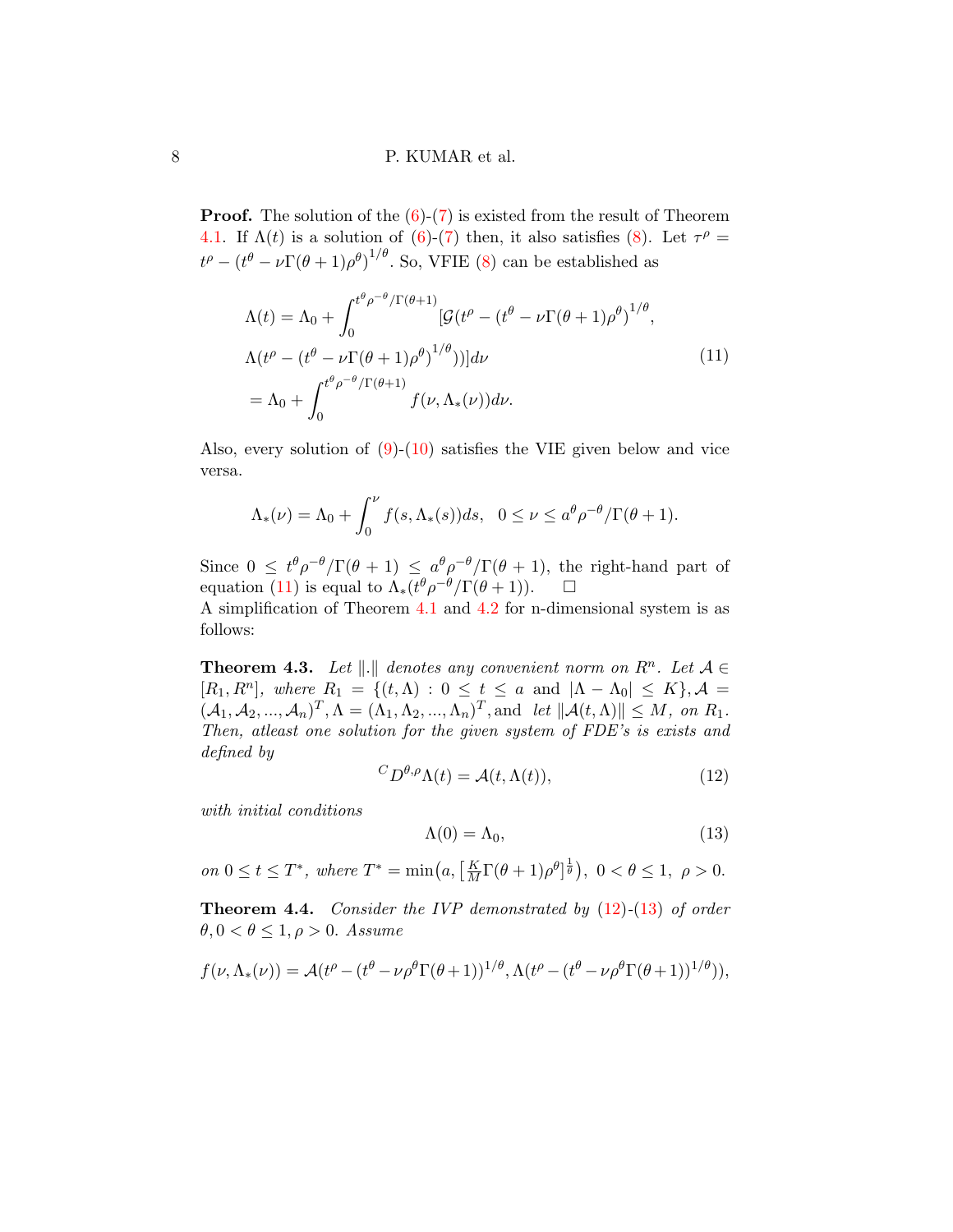**Proof.** The solution of the  $(6)-(7)$  $(6)-(7)$  is existed from the result of Theorem [4.1.](#page-6-0) If  $\Lambda(t)$  is a solution of [\(6\)](#page-5-2)-[\(7\)](#page-5-3) then, it also satisfies [\(8\)](#page-5-4). Let  $\tau^{\rho} =$  $t^{\rho}-(t^{\theta}-\nu\Gamma(\theta+1)\rho^{\theta})^{1/\theta}$ . So, VFIE [\(8\)](#page-5-4) can be established as

<span id="page-7-0"></span>
$$
\Lambda(t) = \Lambda_0 + \int_0^{t^{\theta} \rho^{-\theta} / \Gamma(\theta + 1)} \left[ \mathcal{G}(t^{\rho} - (t^{\theta} - \nu \Gamma(\theta + 1) \rho^{\theta})^{1/\theta} \right],
$$
  
\n
$$
\Lambda(t^{\rho} - (t^{\theta} - \nu \Gamma(\theta + 1) \rho^{\theta})^{1/\theta}) \Big] d\nu
$$
  
\n
$$
= \Lambda_0 + \int_0^{t^{\theta} \rho^{-\theta} / \Gamma(\theta + 1)} f(\nu, \Lambda_*(\nu)) d\nu.
$$
\n(11)

Also, every solution of [\(9\)](#page-6-1)-[\(10\)](#page-6-2) satisfies the VIE given below and vice versa.

$$
\Lambda_*(\nu) = \Lambda_0 + \int_0^{\nu} f(s, \Lambda_*(s)) ds, \quad 0 \le \nu \le a^{\theta} \rho^{-\theta} / \Gamma(\theta + 1).
$$

Since  $0 \le t^{\theta} \rho^{-\theta} / \Gamma(\theta + 1) \le a^{\theta} \rho^{-\theta} / \Gamma(\theta + 1)$ , the right-hand part of equation [\(11\)](#page-7-0) is equal to  $\Lambda_*(t^{\theta}\rho^{-\theta}/\Gamma(\theta+1))$ .  $\Box$ A simplification of Theorem [4.1](#page-6-0) and [4.2](#page-6-3) for n-dimensional system is as

follows:

<span id="page-7-3"></span>**Theorem 4.3.** Let  $\|\cdot\|$  denotes any convenient norm on  $R^n$ . Let  $\mathcal{A} \in \mathcal{A}$  $[R_1, R^n],$  where  $R_1 = \{(t, \Lambda) : 0 \le t \le a \text{ and } |\Lambda - \Lambda_0| \le K\}, \mathcal{A} =$  $(\mathcal{A}_1, \mathcal{A}_2, ..., \mathcal{A}_n)^T, \Lambda = (\Lambda_1, \Lambda_2, ..., \Lambda_n)^T$ , and let  $\|\mathcal{A}(t, \Lambda)\| \leq M$ , on  $R_1$ . Then, atleast one solution for the given system of FDE's is exists and defined by

<span id="page-7-1"></span>
$$
{}^{C}D^{\theta,\rho}\Lambda(t) = \mathcal{A}(t,\Lambda(t)),\tag{12}
$$

with initial conditions

<span id="page-7-2"></span>
$$
\Lambda(0) = \Lambda_0,\tag{13}
$$

on  $0 \le t \le T^*$ , where  $T^* = \min\left(a, \left[\frac{K}{M}\Gamma(\theta+1)\rho^{\theta}\right]^{\frac{1}{\theta}}\right), \ 0 < \theta \le 1, \ \rho > 0.$ 

**Theorem 4.4.** Consider the IVP demonstrated by  $(12)-(13)$  $(12)-(13)$  $(12)-(13)$  of order  $\theta, 0 < \theta \leq 1, \rho > 0.$  Assume

$$
f(\nu, \Lambda_*(\nu)) = \mathcal{A}(t^{\rho} - (t^{\theta} - \nu \rho^{\theta} \Gamma(\theta + 1))^{1/\theta}, \Lambda(t^{\rho} - (t^{\theta} - \nu \rho^{\theta} \Gamma(\theta + 1))^{1/\theta})),
$$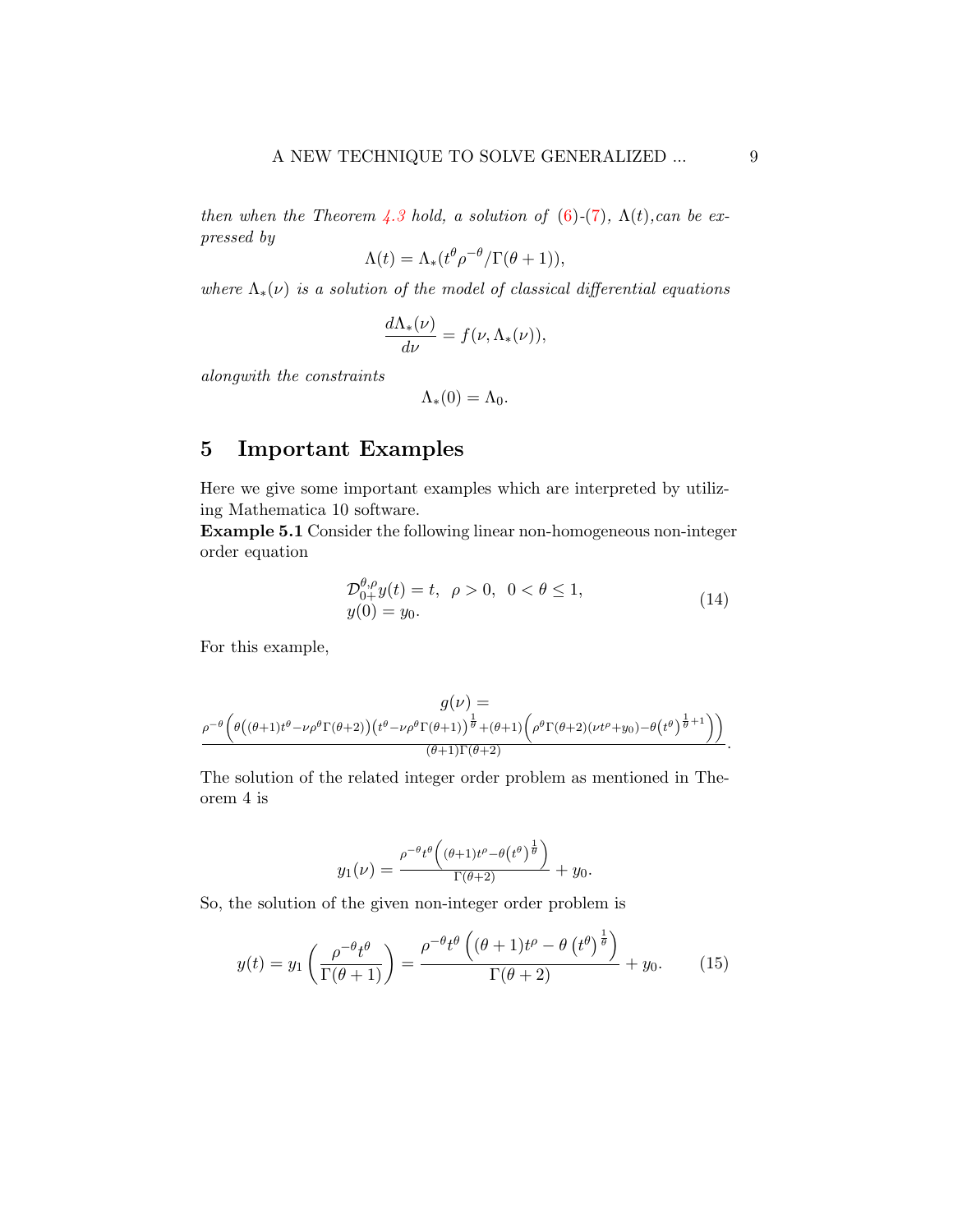then when the Theorem [4.3](#page-7-3) hold, a solution of [\(6\)](#page-5-2)-[\(7\)](#page-5-3),  $\Lambda(t)$ , can be expressed by

$$
\Lambda(t) = \Lambda_*(t^{\theta} \rho^{-\theta} / \Gamma(\theta + 1)),
$$

where  $\Lambda_*(\nu)$  is a solution of the model of classical differential equations

$$
\frac{d\Lambda_*(\nu)}{d\nu} = f(\nu, \Lambda_*(\nu)),
$$

alongwith the constraints

$$
\Lambda_*(0)=\Lambda_0.
$$

## <span id="page-8-0"></span>5 Important Examples

Here we give some important examples which are interpreted by utilizing Mathematica 10 software.

Example 5.1 Consider the following linear non-homogeneous non-integer order equation

<span id="page-8-2"></span>
$$
\mathcal{D}_{0+}^{\theta,\rho} y(t) = t, \ \rho > 0, \ 0 < \theta \le 1, \ny(0) = y_0.
$$
\n(14)

For this example,

$$
g(\nu)=\overbrace{\rho^{-\theta}\Big(\theta\big((\theta+1)t^{\theta}-\nu\rho^{\theta}\Gamma(\theta+2)\big)\big(t^{\theta}-\nu\rho^{\theta}\Gamma(\theta+1)\big)^{\frac{1}{\theta}}+(\theta+1)\Big(\rho^{\theta}\Gamma(\theta+2)(\nu t^{\rho}+y_0)-\theta\big(t^{\theta}\big)^{\frac{1}{\theta}+1}\Big)\Big)}^{1}}^{g(\nu)}.
$$

The solution of the related integer order problem as mentioned in Theorem 4 is

$$
y_1(\nu) = \frac{\rho^{-\theta}t^{\theta}\left((\theta+1)t^{\rho}-\theta(t^{\theta})^{\frac{1}{\theta}}\right)}{\Gamma(\theta+2)} + y_0.
$$

So, the solution of the given non-integer order problem is

<span id="page-8-1"></span>
$$
y(t) = y_1 \left( \frac{\rho^{-\theta} t^{\theta}}{\Gamma(\theta + 1)} \right) = \frac{\rho^{-\theta} t^{\theta} \left( (\theta + 1)t^{\rho} - \theta \left( t^{\theta} \right)^{\frac{1}{\theta}} \right)}{\Gamma(\theta + 2)} + y_0.
$$
 (15)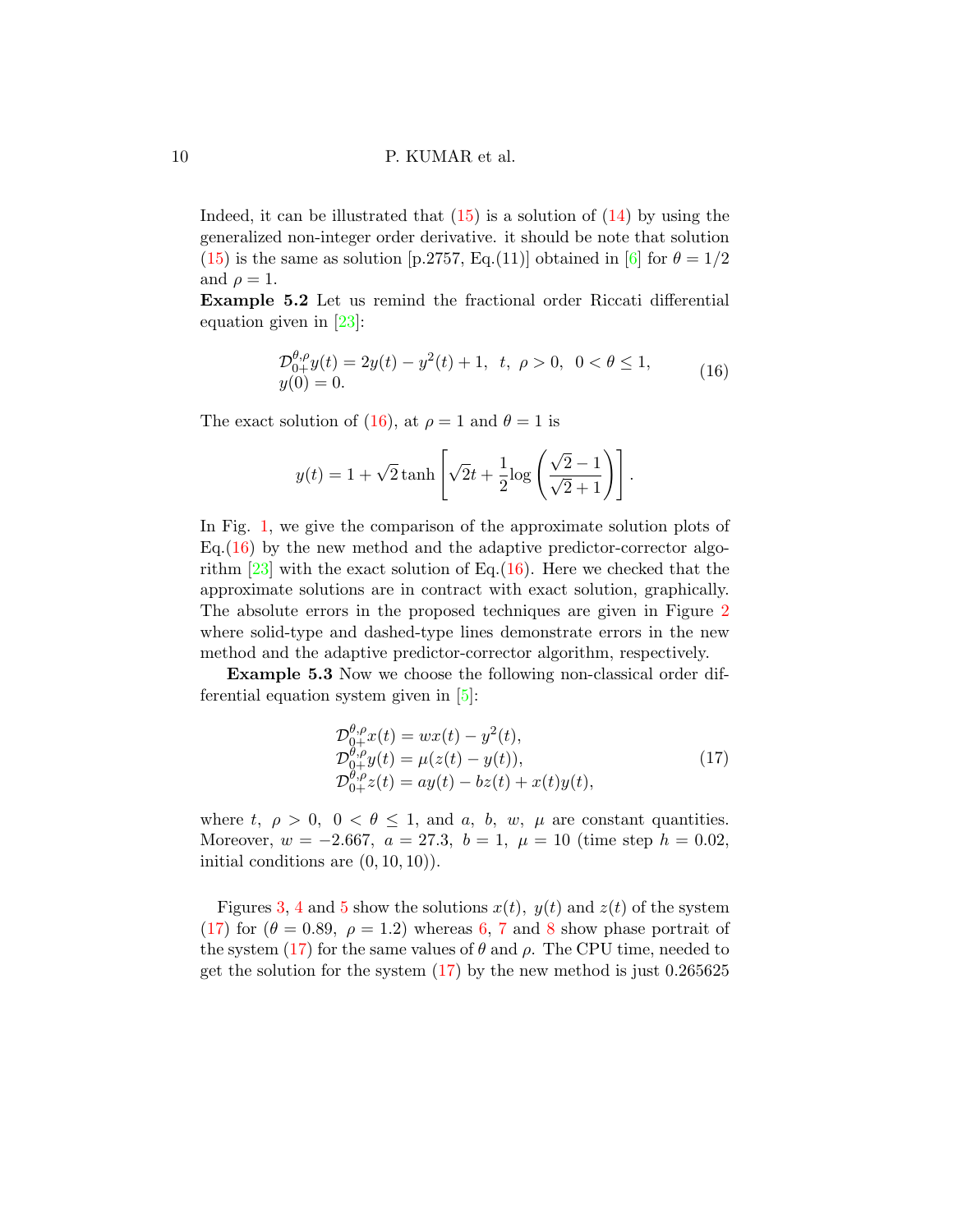Indeed, it can be illustrated that  $(15)$  is a solution of  $(14)$  by using the generalized non-integer order derivative. it should be note that solution [\(15\)](#page-8-1) is the same as solution [p.2757, Eq.(11)] obtained in [\[6\]](#page-19-8) for  $\theta = 1/2$ and  $\rho = 1$ .

Example 5.2 Let us remind the fractional order Riccati differential equation given in [\[23\]](#page-21-2):

<span id="page-9-0"></span>
$$
\mathcal{D}_{0+}^{\theta,\rho} y(t) = 2y(t) - y^2(t) + 1, \quad t, \quad \rho > 0, \quad 0 < \theta \le 1, \ny(0) = 0.
$$
\n(16)

The exact solution of [\(16\)](#page-9-0), at  $\rho = 1$  and  $\theta = 1$  is

$$
y(t) = 1 + \sqrt{2} \tanh\left[\sqrt{2}t + \frac{1}{2}\log\left(\frac{\sqrt{2}-1}{\sqrt{2}+1}\right)\right].
$$

In Fig. [1,](#page-10-0) we give the comparison of the approximate solution plots of Eq. $(16)$  by the new method and the adaptive predictor-corrector algorithm  $\left[23\right]$  with the exact solution of Eq.[\(16\)](#page-9-0). Here we checked that the approximate solutions are in contract with exact solution, graphically. The absolute errors in the proposed techniques are given in Figure [2](#page-10-1) where solid-type and dashed-type lines demonstrate errors in the new method and the adaptive predictor-corrector algorithm, respectively.

Example 5.3 Now we choose the following non-classical order differential equation system given in [\[5\]](#page-19-9):

<span id="page-9-1"></span>
$$
\mathcal{D}_{0+}^{\theta,\rho} x(t) = wx(t) - y^2(t), \n\mathcal{D}_{0+}^{\theta,\rho} y(t) = \mu(z(t) - y(t)), \n\mathcal{D}_{0+}^{\theta,\rho} z(t) = ay(t) - bz(t) + x(t)y(t),
$$
\n(17)

where t,  $\rho > 0$ ,  $0 < \theta \le 1$ , and a, b, w,  $\mu$  are constant quantities. Moreover,  $w = -2.667$ ,  $a = 27.3$ ,  $b = 1$ ,  $\mu = 10$  (time step  $h = 0.02$ , initial conditions are  $(0, 10, 10)$ .

Figures [3,](#page-11-0) [4](#page-11-1) and [5](#page-12-0) show the solutions  $x(t)$ ,  $y(t)$  and  $z(t)$  of the system [\(17\)](#page-9-1) for  $(\theta = 0.89, \ \rho = 1.2)$  $(\theta = 0.89, \ \rho = 1.2)$  $(\theta = 0.89, \ \rho = 1.2)$  whereas [6,](#page-12-1) [7](#page-13-0) and 8 show phase portrait of the system [\(17\)](#page-9-1) for the same values of  $\theta$  and  $\rho$ . The CPU time, needed to get the solution for the system  $(17)$  by the new method is just 0.265625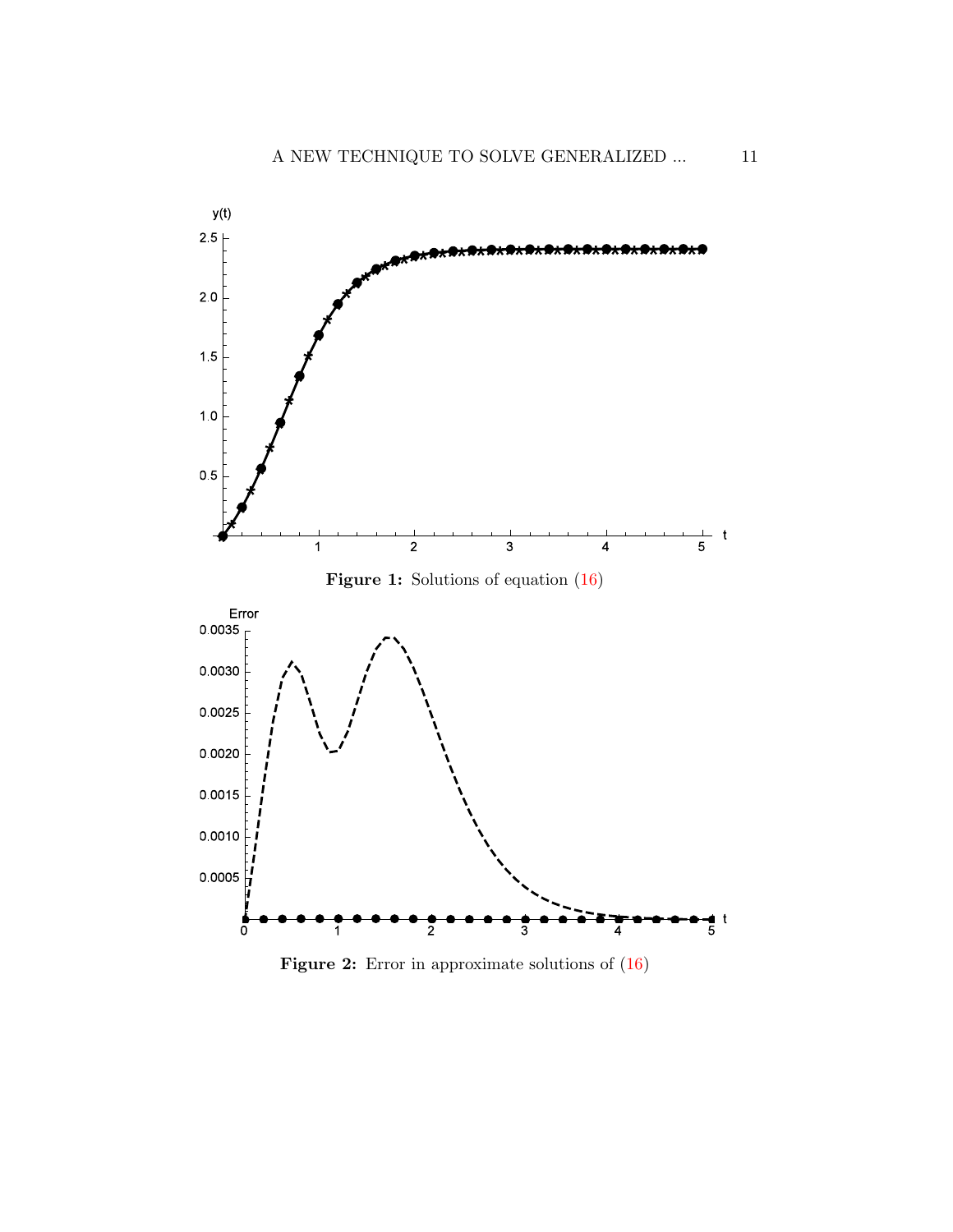<span id="page-10-0"></span>



<span id="page-10-1"></span>

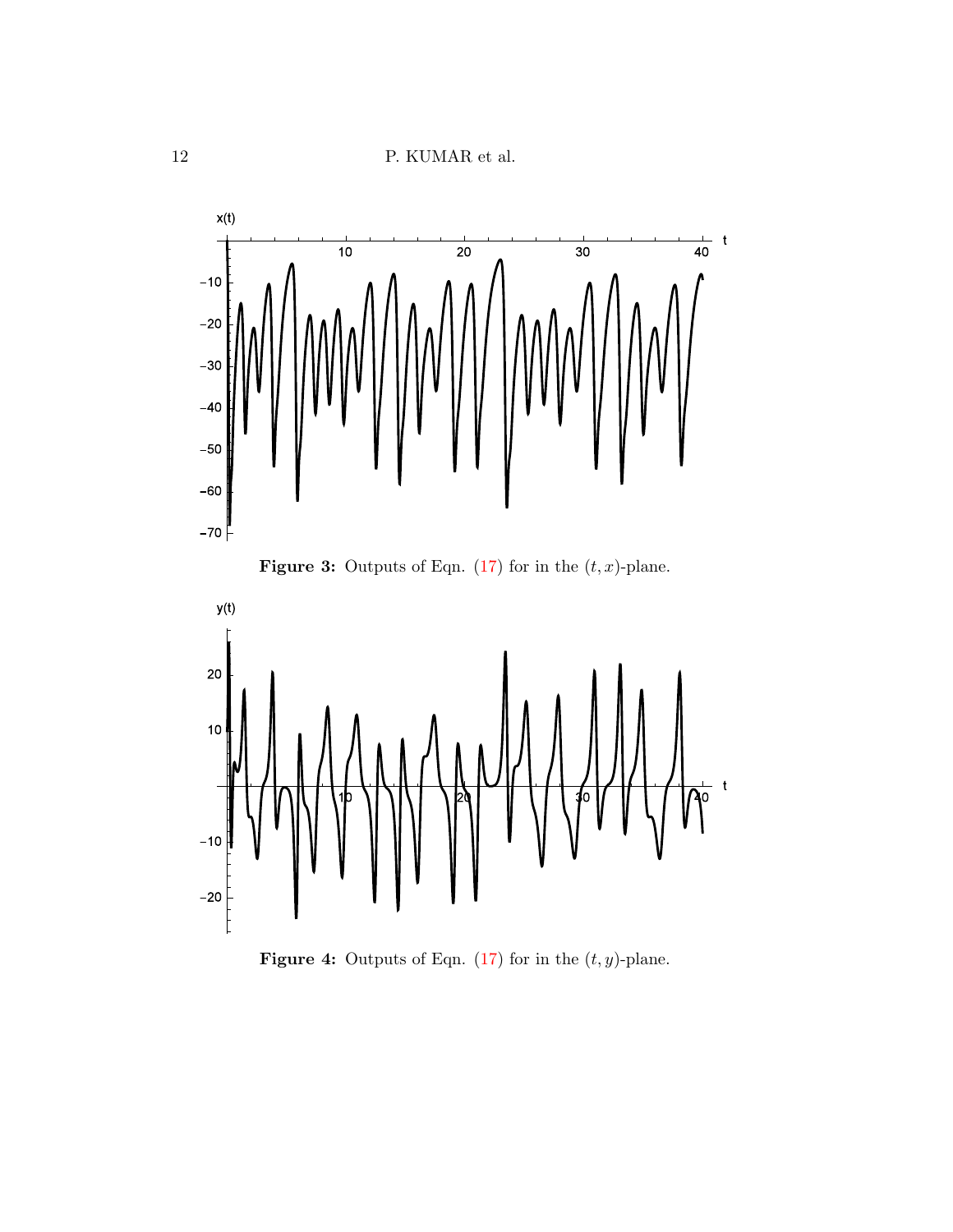$12$   $\,$  P. KUMAR et al.

<span id="page-11-0"></span>



<span id="page-11-1"></span>

**Figure 4:** Outputs of Eqn. [\(17\)](#page-9-1) for in the  $(t, y)$ -plane.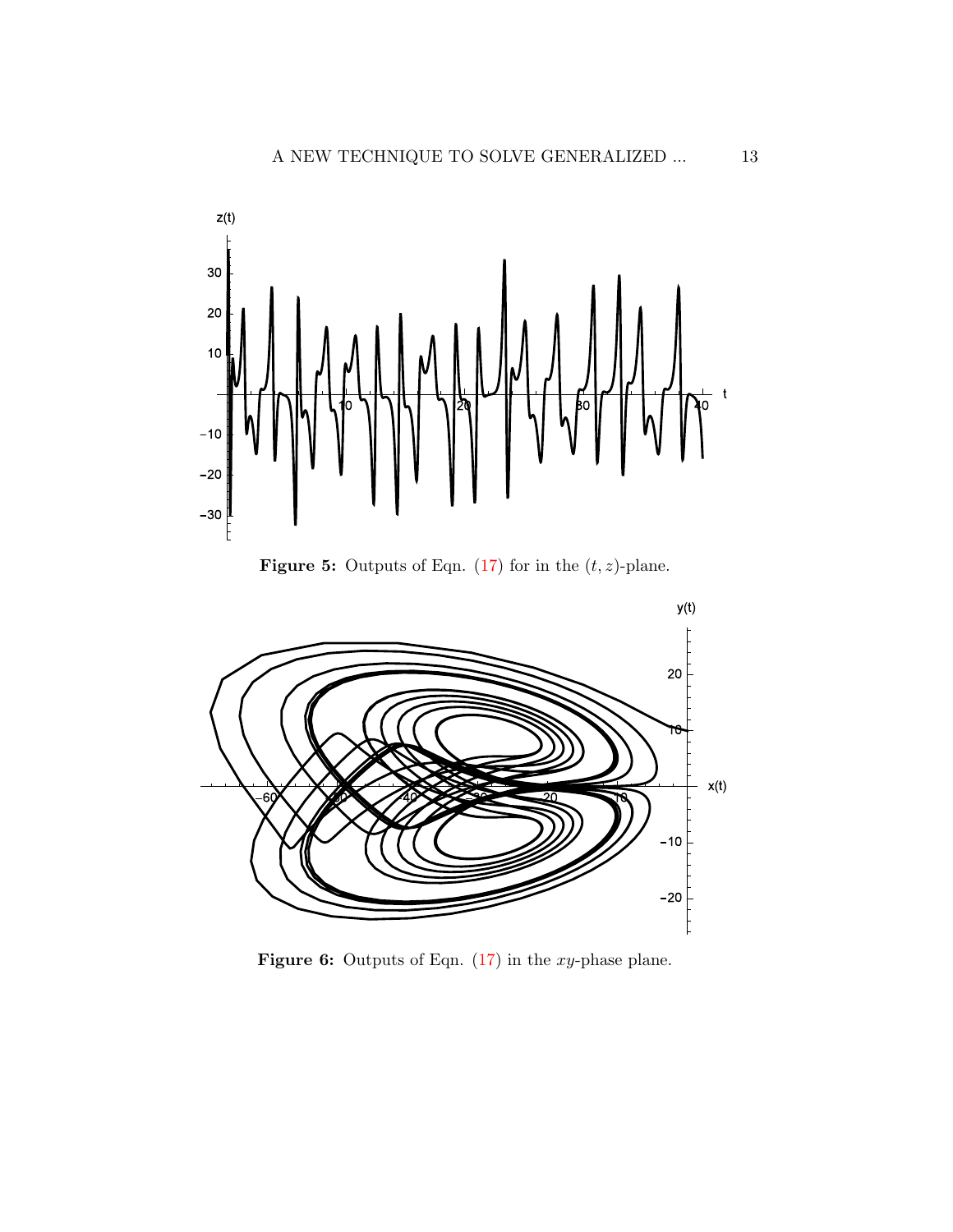<span id="page-12-0"></span>



<span id="page-12-1"></span>

**Figure 6:** Outputs of Eqn.  $(17)$  in the xy-phase plane.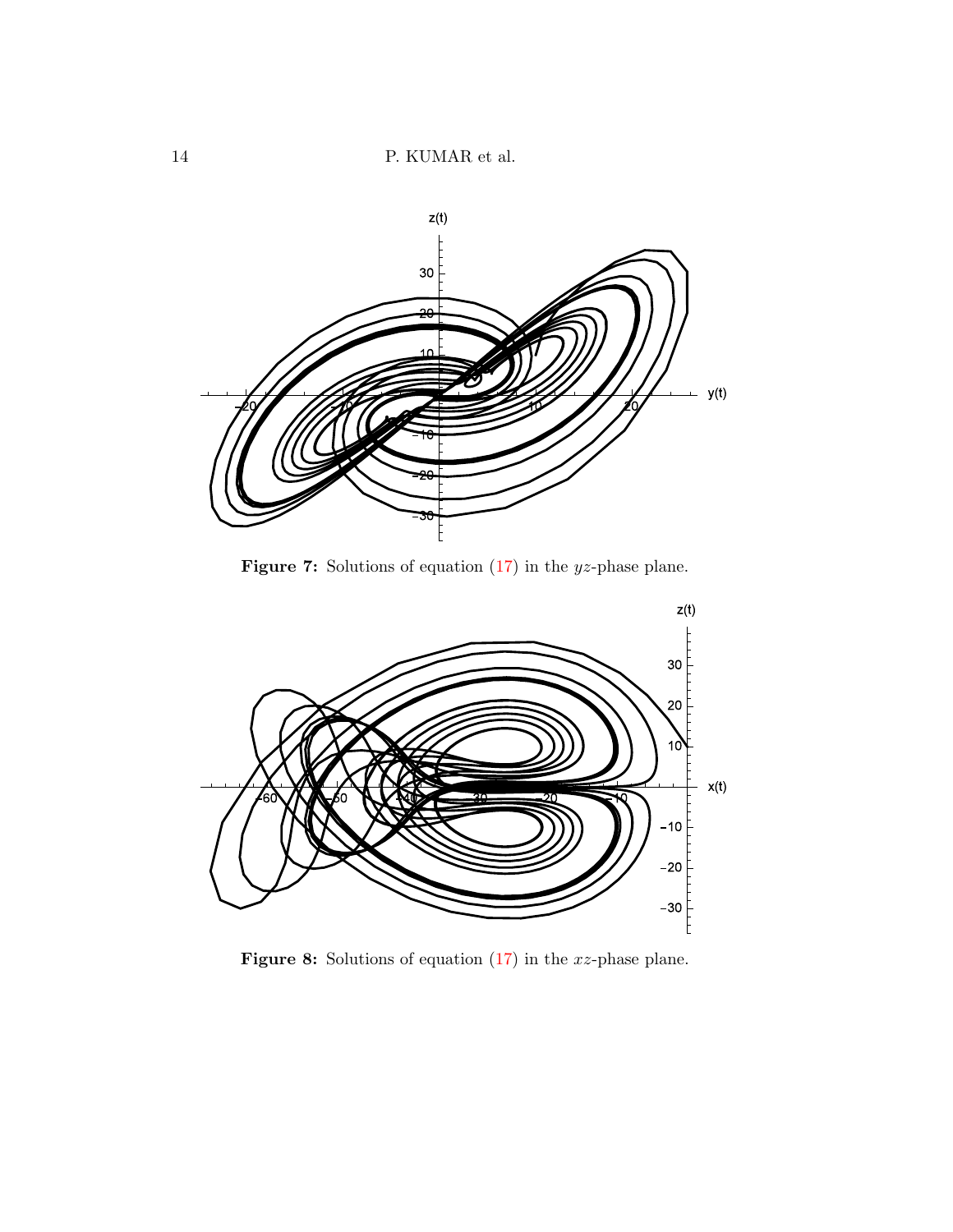<span id="page-13-0"></span>

**Figure 7:** Solutions of equation  $(17)$  in the *yz*-phase plane.

<span id="page-13-1"></span>

**Figure 8:** Solutions of equation  $(17)$  in the xz-phase plane.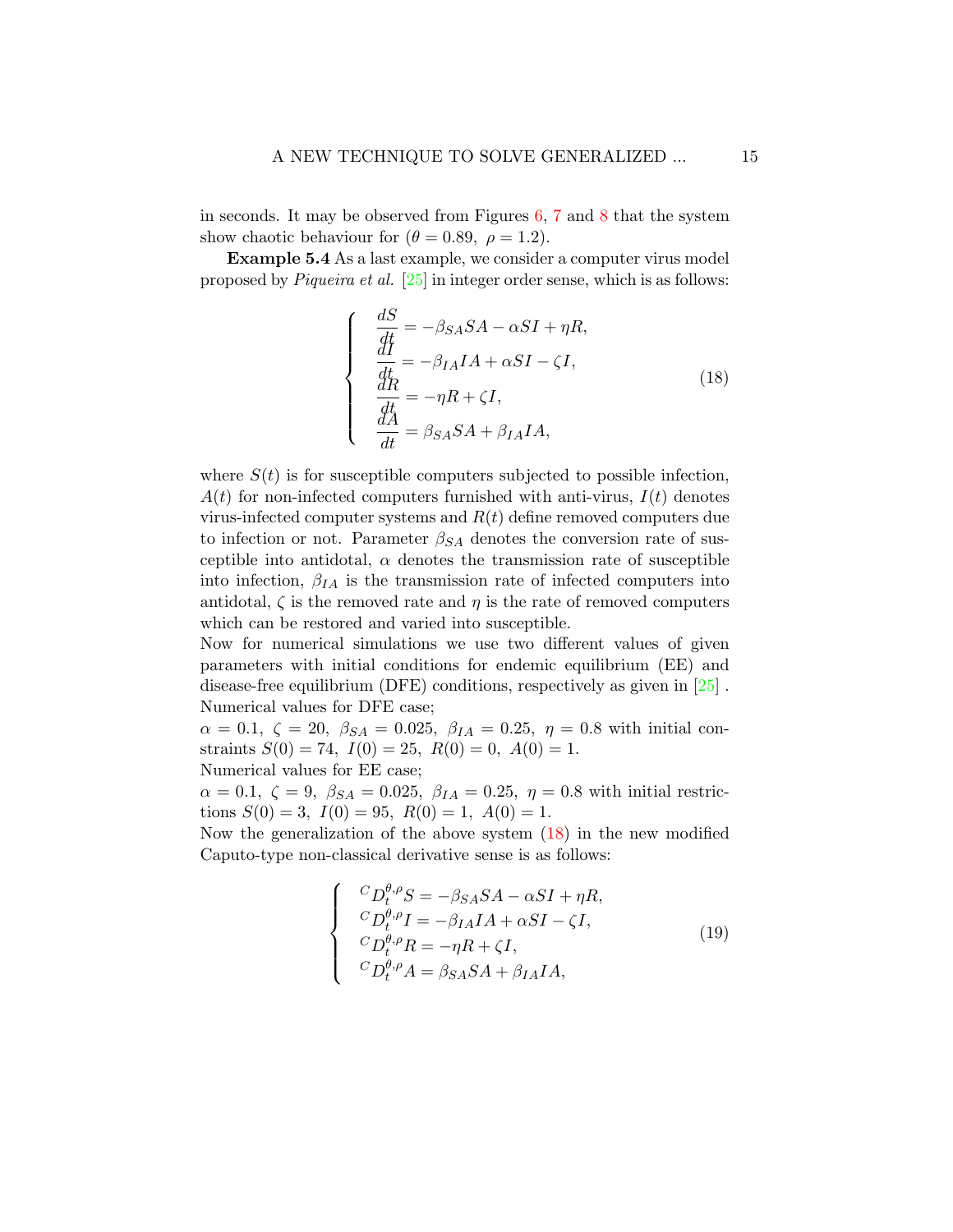in seconds. It may be observed from Figures  $6, 7$  $6, 7$  $6, 7$  and  $8$  that the system show chaotic behaviour for  $(\theta = 0.89, \ \rho = 1.2)$ .

Example 5.4 As a last example, we consider a computer virus model proposed by Piqueira et al. [\[25\]](#page-21-5) in integer order sense, which is as follows:

 $\sqrt{ }$ 

 $\int$ 

<span id="page-14-0"></span> $\overline{\mathcal{L}}$ 

$$
\frac{dS}{dt} = -\beta_{SA}SA - \alpha SI + \eta R,
$$
\n
$$
\frac{dI}{dt} = -\beta_{IA}IA + \alpha SI - \zeta I,
$$
\n
$$
\frac{dR}{dt} = -\eta R + \zeta I,
$$
\n
$$
\frac{dA}{dt} = \beta_{SA}SA + \beta_{IA}IA,
$$
\n(18)

where  $S(t)$  is for susceptible computers subjected to possible infection,  $A(t)$  for non-infected computers furnished with anti-virus,  $I(t)$  denotes virus-infected computer systems and  $R(t)$  define removed computers due to infection or not. Parameter  $\beta_{SA}$  denotes the conversion rate of susceptible into antidotal,  $\alpha$  denotes the transmission rate of susceptible into infection,  $\beta_{IA}$  is the transmission rate of infected computers into antidotal,  $\zeta$  is the removed rate and  $\eta$  is the rate of removed computers which can be restored and varied into susceptible.

Now for numerical simulations we use two different values of given parameters with initial conditions for endemic equilibrium (EE) and disease-free equilibrium (DFE) conditions, respectively as given in [\[25\]](#page-21-5) . Numerical values for DFE case;

 $\alpha = 0.1, \zeta = 20, \ \beta_{SA} = 0.025, \ \beta_{IA} = 0.25, \ \eta = 0.8$  with initial constraints  $S(0) = 74$ ,  $I(0) = 25$ ,  $R(0) = 0$ ,  $A(0) = 1$ . Numerical values for EE case;

 $\alpha = 0.1, \zeta = 9, \ \beta_{SA} = 0.025, \ \beta_{IA} = 0.25, \ \eta = 0.8$  with initial restrictions  $S(0) = 3$ ,  $I(0) = 95$ ,  $R(0) = 1$ ,  $A(0) = 1$ .

Now the generalization of the above system [\(18\)](#page-14-0) in the new modified Caputo-type non-classical derivative sense is as follows:

<span id="page-14-1"></span>
$$
\begin{cases}\n^{C}D_{t}^{\theta,\rho}S = -\beta_{SA}SA - \alpha SI + \eta R, \\
^{C}D_{t}^{\theta,\rho}I = -\beta_{IA}IA + \alpha SI - \zeta I, \\
^{C}D_{t}^{\theta,\rho}R = -\eta R + \zeta I, \\
^{C}D_{t}^{\theta,\rho}A = \beta_{SA}SA + \beta_{IA}IA,\n\end{cases} (19)
$$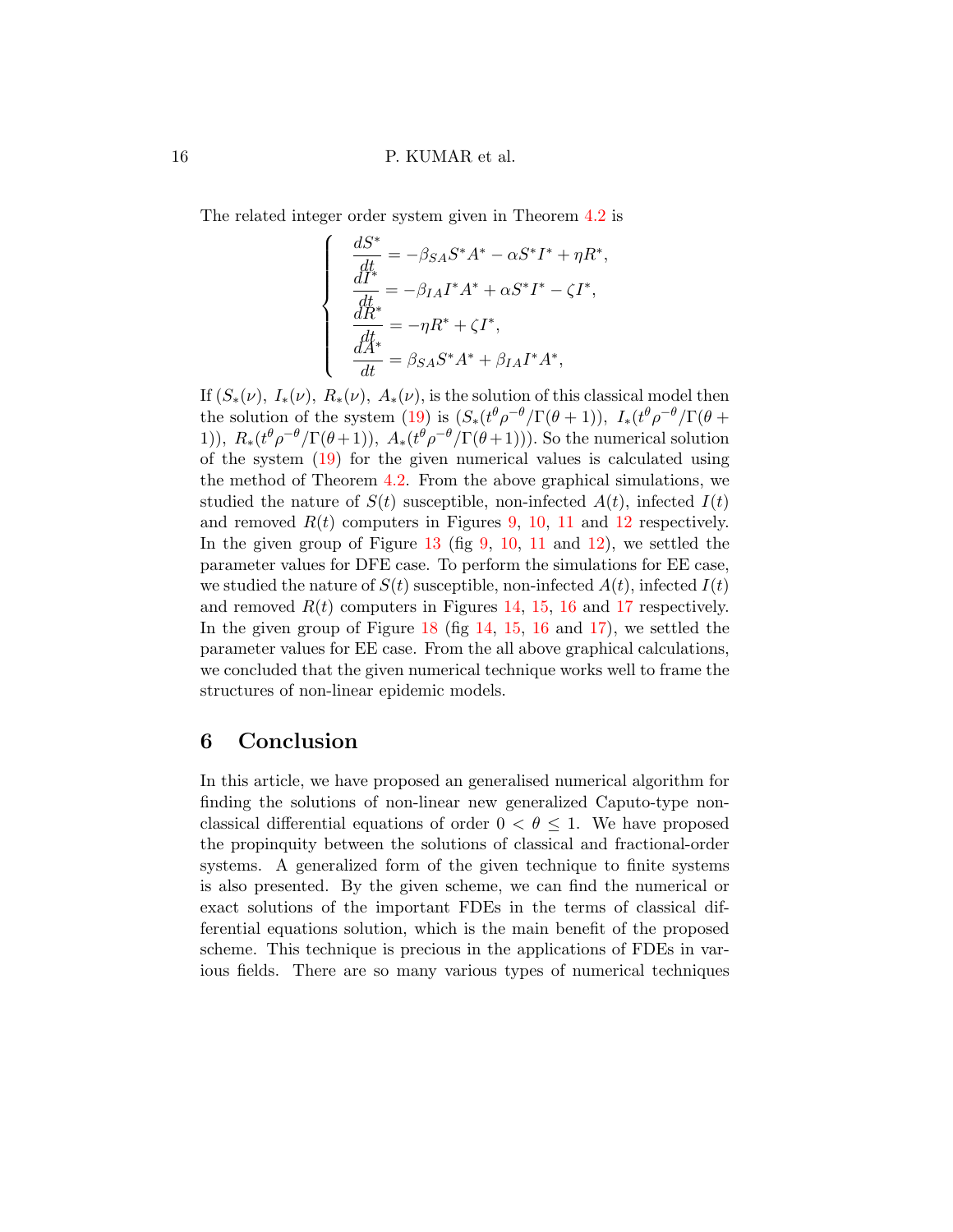The related integer order system given in Theorem [4.2](#page-6-3) is

 $\sqrt{ }$ 

 $\begin{matrix} \end{matrix}$ 

 $\bigg\}$ 

$$
\begin{split} \frac{dS^*}{dt^*} &= -\beta_{SA}S^*A^* - \alpha S^*I^* + \eta R^*\\ \frac{dI^*}{dt^*} &= -\beta_{IA}I^*A^* + \alpha S^*I^* - \zeta I^*,\\ \frac{dR^*}{dt^*} &= -\eta R^* + \zeta I^*,\\ \frac{dA^*}{dt^*} &= \beta_{SA}S^*A^* + \beta_{IA}I^*A^*, \end{split}
$$

,

If  $(S_*(\nu), I_*(\nu), R_*(\nu), A_*(\nu))$ , is the solution of this classical model then the solution of the system [\(19\)](#page-14-1) is  $(S_*(t^\theta \rho^{-\theta}/\Gamma(\theta+1)), I_*(t^\theta \rho^{-\theta}/\Gamma(\theta+1))$ 1)),  $R_*(t^{\theta}\rho^{-\theta}/\Gamma(\theta+1)), A_*(t^{\theta}\rho^{-\theta}/\Gamma(\theta+1))$ . So the numerical solution of the system [\(19\)](#page-14-1) for the given numerical values is calculated using the method of Theorem [4.2.](#page-6-3) From the above graphical simulations, we studied the nature of  $S(t)$  susceptible, non-infected  $A(t)$ , infected  $I(t)$ and removed  $R(t)$  computers in Figures [9,](#page-16-0) [10,](#page-16-0) [11](#page-16-0) and [12](#page-16-0) respectively. In the given group of Figure  $13$  (fig  $9, 10, 11$  $9, 10, 11$  $9, 10, 11$  $9, 10, 11$  $9, 10, 11$  and  $12$ ), we settled the parameter values for DFE case. To perform the simulations for EE case, we studied the nature of  $S(t)$  susceptible, non-infected  $A(t)$ , infected  $I(t)$ and removed  $R(t)$  computers in Figures [14,](#page-17-0) [15,](#page-17-0) [16](#page-17-0) and [17](#page-17-0) respectively. In the given group of Figure [18](#page-17-0) (fig [14,](#page-17-0) [15,](#page-17-0) [16](#page-17-0) and [17\)](#page-17-0), we settled the parameter values for EE case. From the all above graphical calculations, we concluded that the given numerical technique works well to frame the structures of non-linear epidemic models.

### 6 Conclusion

In this article, we have proposed an generalised numerical algorithm for finding the solutions of non-linear new generalized Caputo-type nonclassical differential equations of order  $0 < \theta \leq 1$ . We have proposed the propinquity between the solutions of classical and fractional-order systems. A generalized form of the given technique to finite systems is also presented. By the given scheme, we can find the numerical or exact solutions of the important FDEs in the terms of classical differential equations solution, which is the main benefit of the proposed scheme. This technique is precious in the applications of FDEs in various fields. There are so many various types of numerical techniques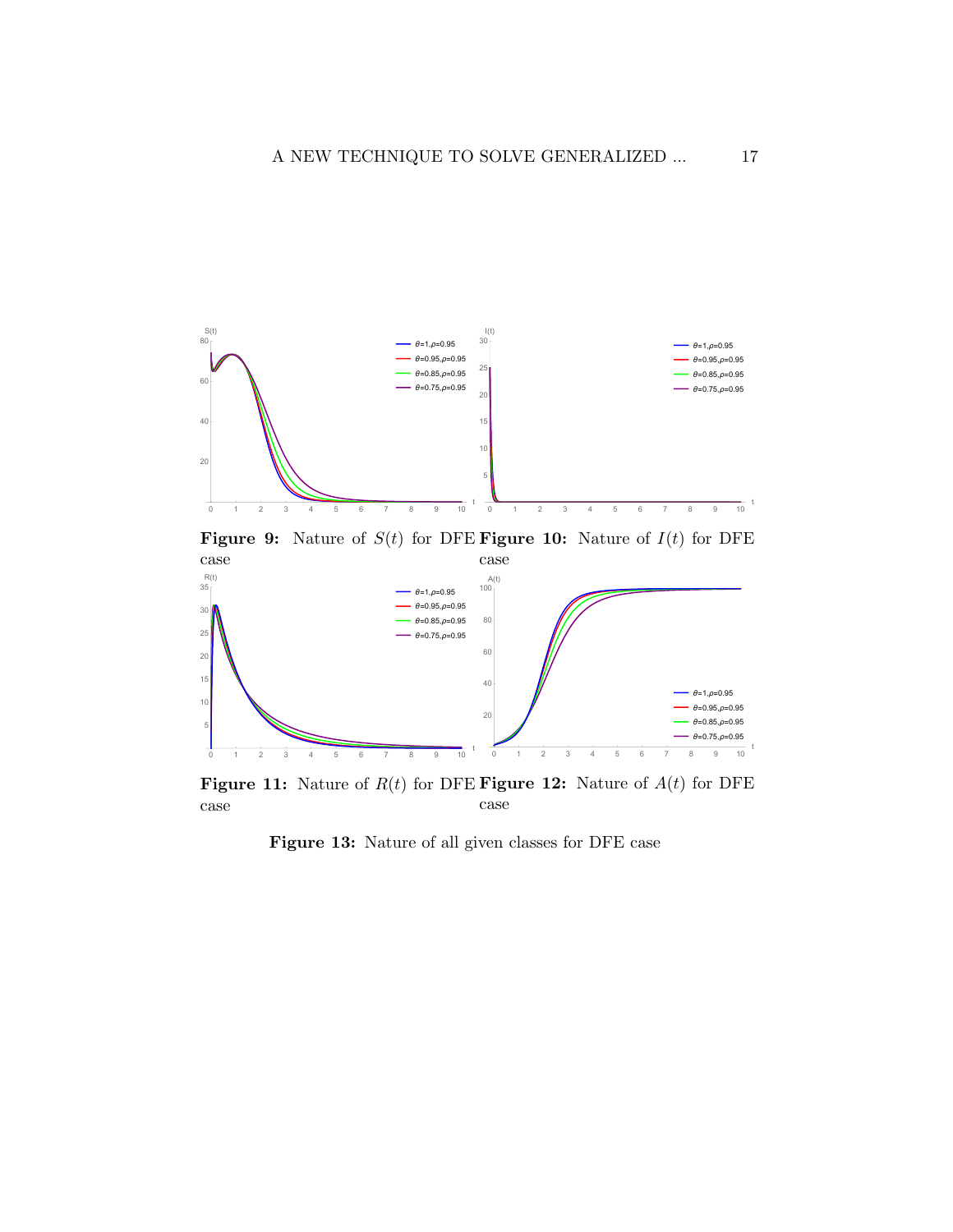<span id="page-16-0"></span>

Figure 9: Nature of  $S(t)$  for DFE Figure 10: Nature of  $I(t)$  for DFE case



Figure 11: Nature of  $R(t)$  for DFE Figure 12: Nature of  $A(t)$  for DFE case case

Figure 13: Nature of all given classes for DFE case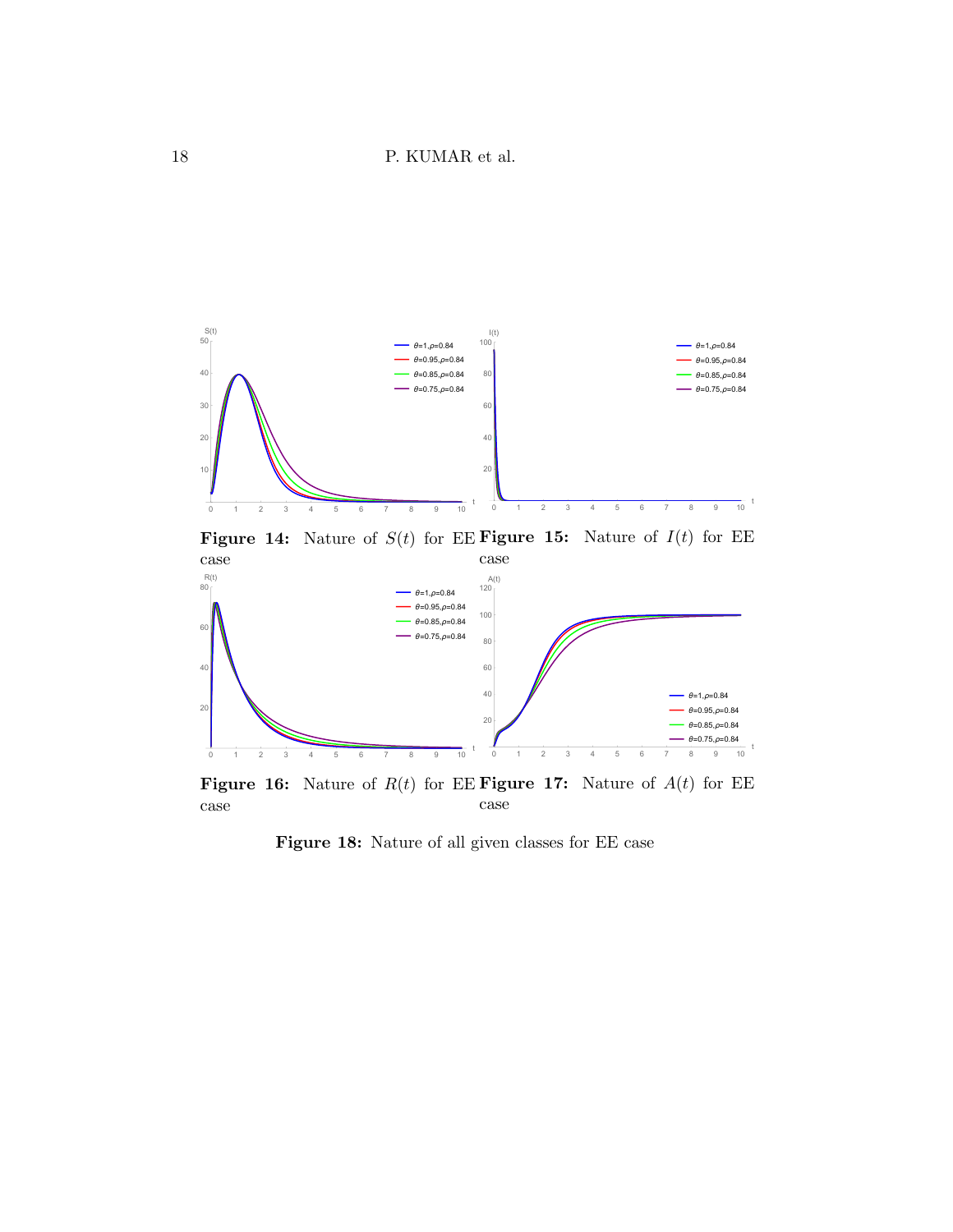<span id="page-17-0"></span>

Figure 14: Nature of  $S(t)$  for EE Figure 15: Nature of  $I(t)$  for EE case



Figure 16: Nature of  $R(t)$  for EE Figure 17: Nature of  $A(t)$  for EE case case

t

Figure 18: Nature of all given classes for EE case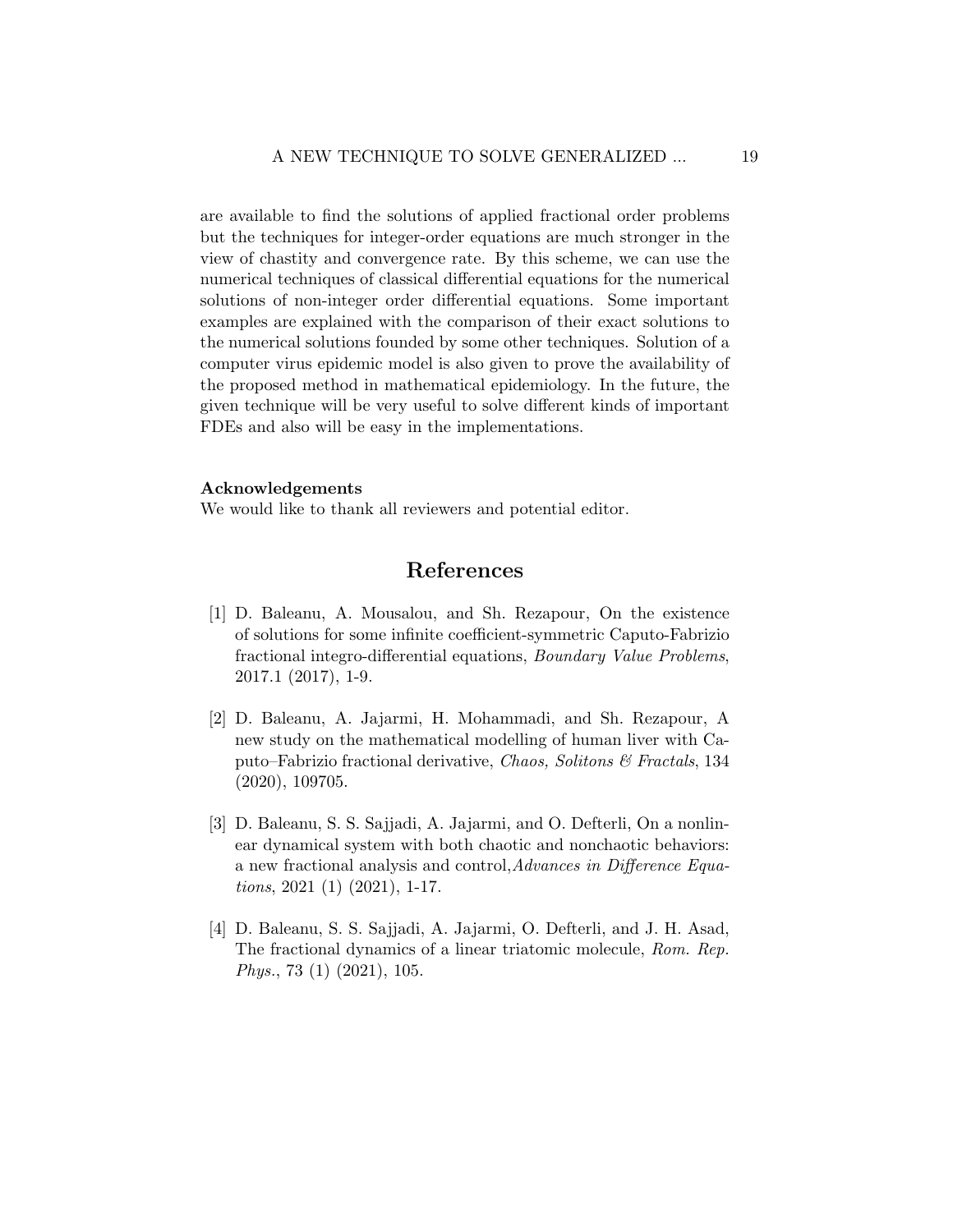are available to find the solutions of applied fractional order problems but the techniques for integer-order equations are much stronger in the view of chastity and convergence rate. By this scheme, we can use the numerical techniques of classical differential equations for the numerical solutions of non-integer order differential equations. Some important examples are explained with the comparison of their exact solutions to the numerical solutions founded by some other techniques. Solution of a computer virus epidemic model is also given to prove the availability of the proposed method in mathematical epidemiology. In the future, the given technique will be very useful to solve different kinds of important FDEs and also will be easy in the implementations.

#### Acknowledgements

We would like to thank all reviewers and potential editor.

## References

- <span id="page-18-3"></span>[1] D. Baleanu, A. Mousalou, and Sh. Rezapour, On the existence of solutions for some infinite coefficient-symmetric Caputo-Fabrizio fractional integro-differential equations, Boundary Value Problems, 2017.1 (2017), 1-9.
- <span id="page-18-0"></span>[2] D. Baleanu, A. Jajarmi, H. Mohammadi, and Sh. Rezapour, A new study on the mathematical modelling of human liver with Caputo–Fabrizio fractional derivative, Chaos, Solitons  $\mathcal C$  Fractals, 134 (2020), 109705.
- <span id="page-18-1"></span>[3] D. Baleanu, S. S. Sajjadi, A. Jajarmi, and O. Defterli, On a nonlinear dynamical system with both chaotic and nonchaotic behaviors: a new fractional analysis and control,Advances in Difference Equations, 2021 (1) (2021), 1-17.
- <span id="page-18-2"></span>[4] D. Baleanu, S. S. Sajjadi, A. Jajarmi, O. Defterli, and J. H. Asad, The fractional dynamics of a linear triatomic molecule, Rom. Rep. Phys., 73 (1) (2021), 105.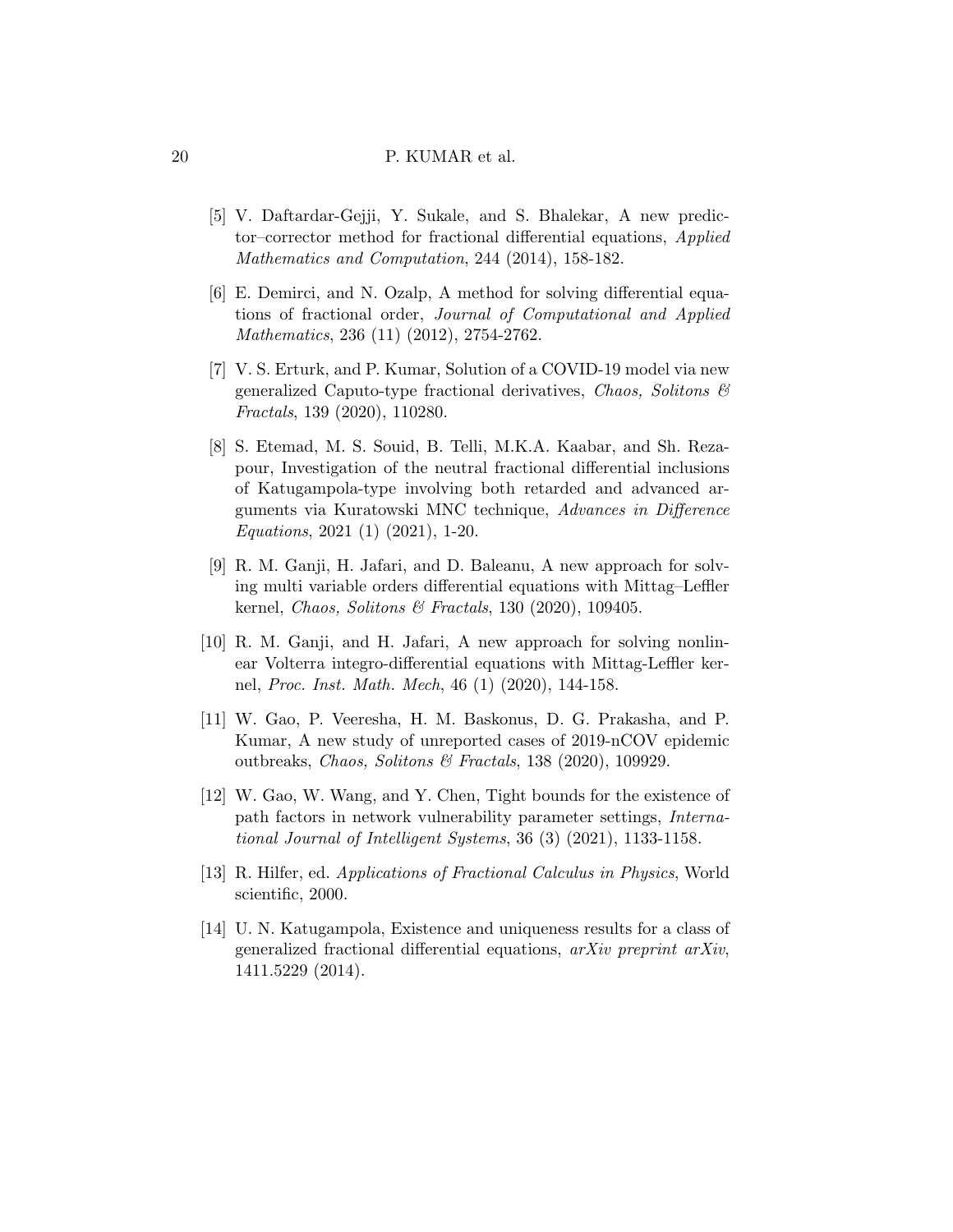- <span id="page-19-9"></span>[5] V. Daftardar-Gejji, Y. Sukale, and S. Bhalekar, A new predictor–corrector method for fractional differential equations, Applied Mathematics and Computation, 244 (2014), 158-182.
- <span id="page-19-8"></span>[6] E. Demirci, and N. Ozalp, A method for solving differential equations of fractional order, Journal of Computational and Applied Mathematics, 236 (11) (2012), 2754-2762.
- <span id="page-19-3"></span>[7] V. S. Erturk, and P. Kumar, Solution of a COVID-19 model via new generalized Caputo-type fractional derivatives, Chaos, Solitons  $\mathcal{C}$ Fractals, 139 (2020), 110280.
- <span id="page-19-5"></span>[8] S. Etemad, M. S. Souid, B. Telli, M.K.A. Kaabar, and Sh. Rezapour, Investigation of the neutral fractional differential inclusions of Katugampola-type involving both retarded and advanced arguments via Kuratowski MNC technique, Advances in Difference Equations, 2021 (1) (2021), 1-20.
- <span id="page-19-7"></span>[9] R. M. Ganji, H. Jafari, and D. Baleanu, A new approach for solving multi variable orders differential equations with Mittag–Leffler kernel, Chaos, Solitons & Fractals, 130 (2020), 109405.
- <span id="page-19-6"></span>[10] R. M. Ganji, and H. Jafari, A new approach for solving nonlinear Volterra integro-differential equations with Mittag-Leffler kernel, Proc. Inst. Math. Mech, 46 (1) (2020), 144-158.
- <span id="page-19-0"></span>[11] W. Gao, P. Veeresha, H. M. Baskonus, D. G. Prakasha, and P. Kumar, A new study of unreported cases of 2019-nCOV epidemic outbreaks, Chaos, Solitons & Fractals, 138 (2020), 109929.
- <span id="page-19-4"></span>[12] W. Gao, W. Wang, and Y. Chen, Tight bounds for the existence of path factors in network vulnerability parameter settings, International Journal of Intelligent Systems, 36 (3) (2021), 1133-1158.
- <span id="page-19-1"></span>[13] R. Hilfer, ed. Applications of Fractional Calculus in Physics, World scientific, 2000.
- <span id="page-19-2"></span>[14] U. N. Katugampola, Existence and uniqueness results for a class of generalized fractional differential equations, arXiv preprint arXiv, 1411.5229 (2014).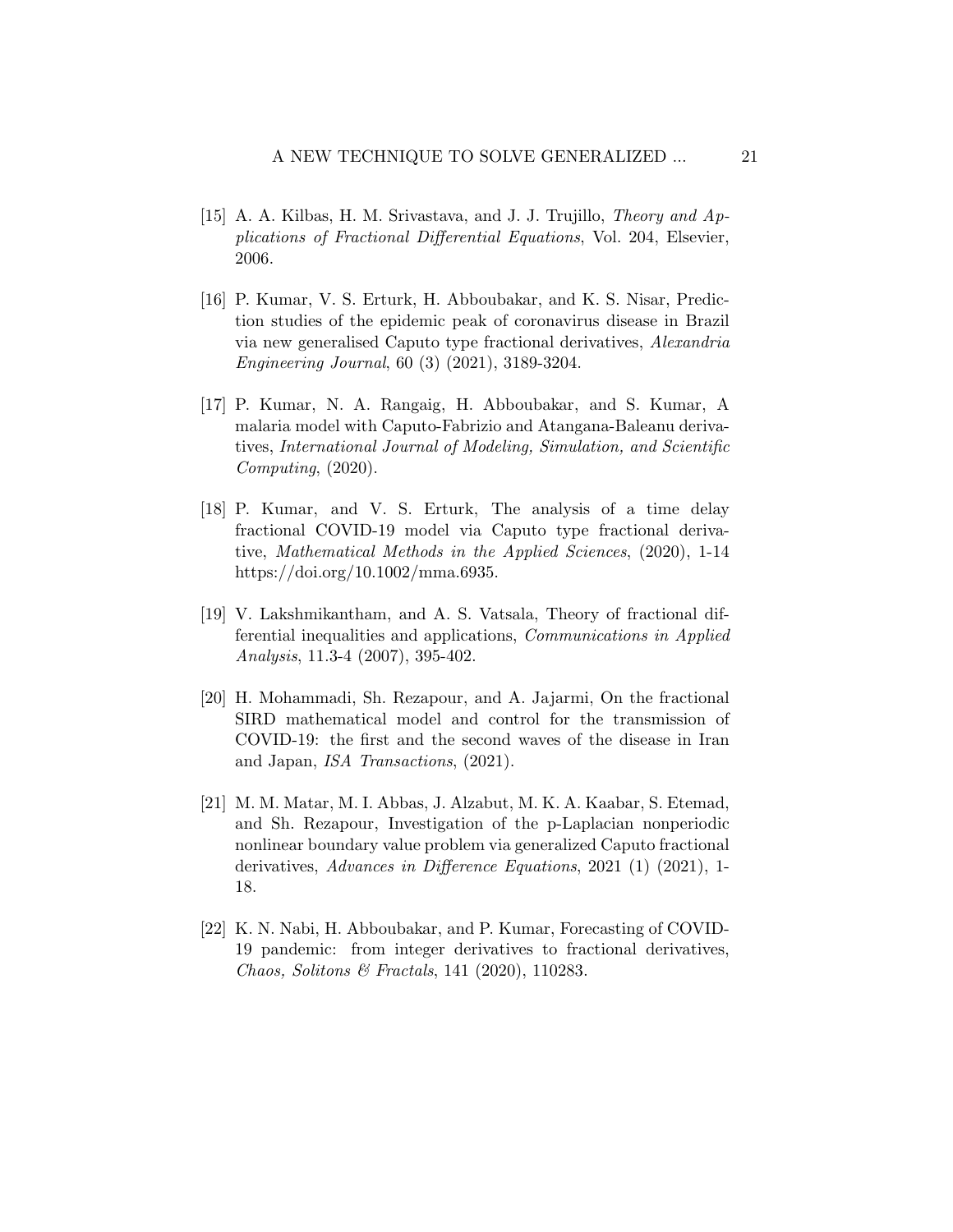- <span id="page-20-0"></span>[15] A. A. Kilbas, H. M. Srivastava, and J. J. Trujillo, Theory and Applications of Fractional Differential Equations, Vol. 204, Elsevier, 2006.
- <span id="page-20-1"></span>[16] P. Kumar, V. S. Erturk, H. Abboubakar, and K. S. Nisar, Prediction studies of the epidemic peak of coronavirus disease in Brazil via new generalised Caputo type fractional derivatives, Alexandria Engineering Journal, 60 (3) (2021), 3189-3204.
- <span id="page-20-2"></span>[17] P. Kumar, N. A. Rangaig, H. Abboubakar, and S. Kumar, A malaria model with Caputo-Fabrizio and Atangana-Baleanu derivatives, International Journal of Modeling, Simulation, and Scientific Computing, (2020).
- <span id="page-20-3"></span>[18] P. Kumar, and V. S. Erturk, The analysis of a time delay fractional COVID-19 model via Caputo type fractional derivative, Mathematical Methods in the Applied Sciences, (2020), 1-14 https://doi.org/10.1002/mma.6935.
- <span id="page-20-7"></span>[19] V. Lakshmikantham, and A. S. Vatsala, Theory of fractional differential inequalities and applications, Communications in Applied Analysis, 11.3-4 (2007), 395-402.
- <span id="page-20-5"></span>[20] H. Mohammadi, Sh. Rezapour, and A. Jajarmi, On the fractional SIRD mathematical model and control for the transmission of COVID-19: the first and the second waves of the disease in Iran and Japan, ISA Transactions, (2021).
- <span id="page-20-6"></span>[21] M. M. Matar, M. I. Abbas, J. Alzabut, M. K. A. Kaabar, S. Etemad, and Sh. Rezapour, Investigation of the p-Laplacian nonperiodic nonlinear boundary value problem via generalized Caputo fractional derivatives, Advances in Difference Equations, 2021 (1) (2021), 1- 18.
- <span id="page-20-4"></span>[22] K. N. Nabi, H. Abboubakar, and P. Kumar, Forecasting of COVID-19 pandemic: from integer derivatives to fractional derivatives, Chaos, Solitons & Fractals, 141 (2020), 110283.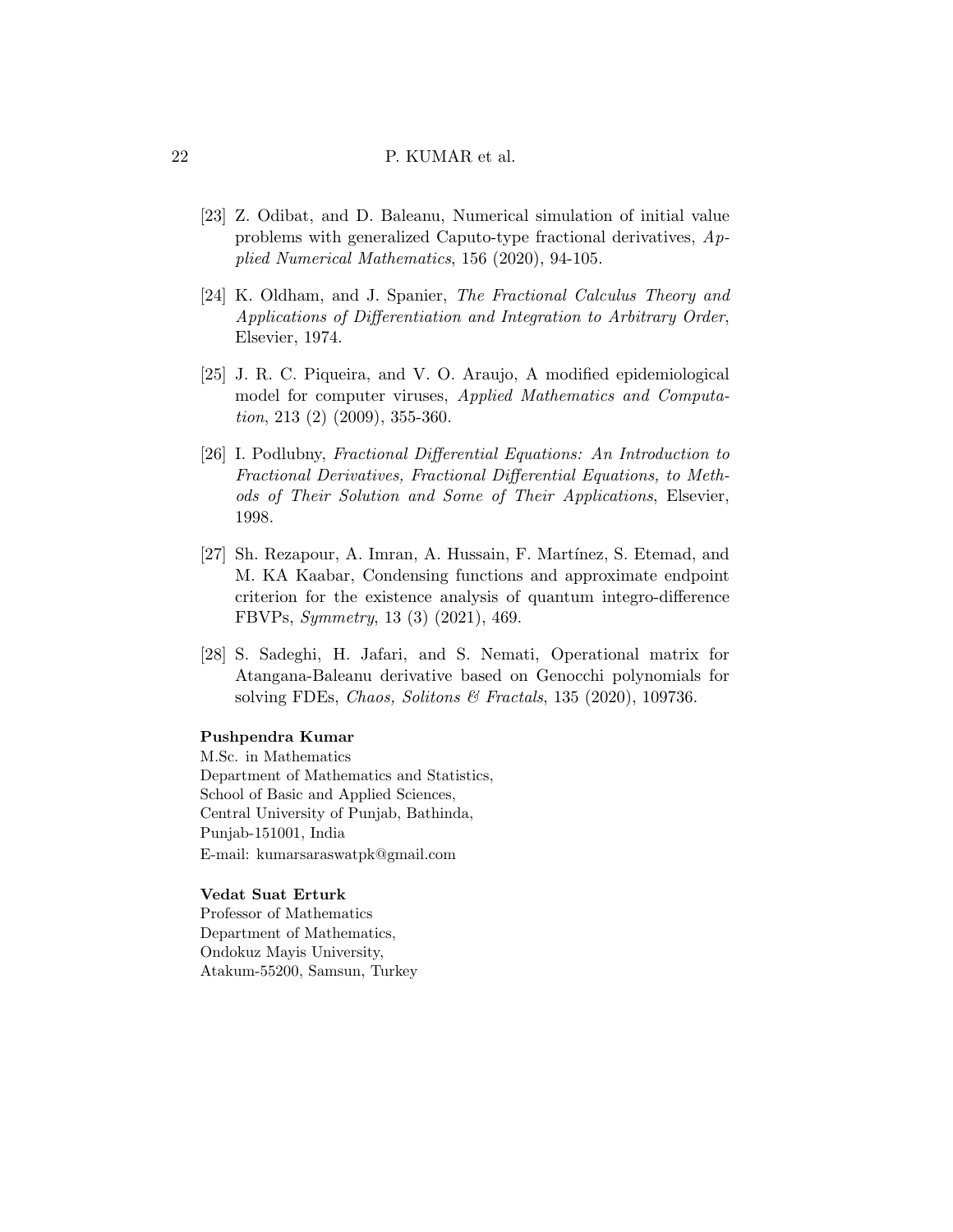- <span id="page-21-2"></span>[23] Z. Odibat, and D. Baleanu, Numerical simulation of initial value problems with generalized Caputo-type fractional derivatives, Applied Numerical Mathematics, 156 (2020), 94-105.
- <span id="page-21-1"></span>[24] K. Oldham, and J. Spanier, The Fractional Calculus Theory and Applications of Differentiation and Integration to Arbitrary Order, Elsevier, 1974.
- <span id="page-21-5"></span>[25] J. R. C. Piqueira, and V. O. Araujo, A modified epidemiological model for computer viruses, Applied Mathematics and Computation, 213 (2) (2009), 355-360.
- <span id="page-21-0"></span>[26] I. Podlubny, Fractional Differential Equations: An Introduction to Fractional Derivatives, Fractional Differential Equations, to Methods of Their Solution and Some of Their Applications, Elsevier, 1998.
- <span id="page-21-3"></span>[27] Sh. Rezapour, A. Imran, A. Hussain, F. Martínez, S. Etemad, and M. KA Kaabar, Condensing functions and approximate endpoint criterion for the existence analysis of quantum integro-difference FBVPs, Symmetry, 13 (3) (2021), 469.
- <span id="page-21-4"></span>[28] S. Sadeghi, H. Jafari, and S. Nemati, Operational matrix for Atangana-Baleanu derivative based on Genocchi polynomials for solving FDEs, Chaos, Solitons & Fractals, 135 (2020), 109736.

### Pushpendra Kumar

M.Sc. in Mathematics Department of Mathematics and Statistics, School of Basic and Applied Sciences, Central University of Punjab, Bathinda, Punjab-151001, India E-mail: kumarsaraswatpk@gmail.com

#### Vedat Suat Erturk

Professor of Mathematics Department of Mathematics, Ondokuz Mayis University, Atakum-55200, Samsun, Turkey